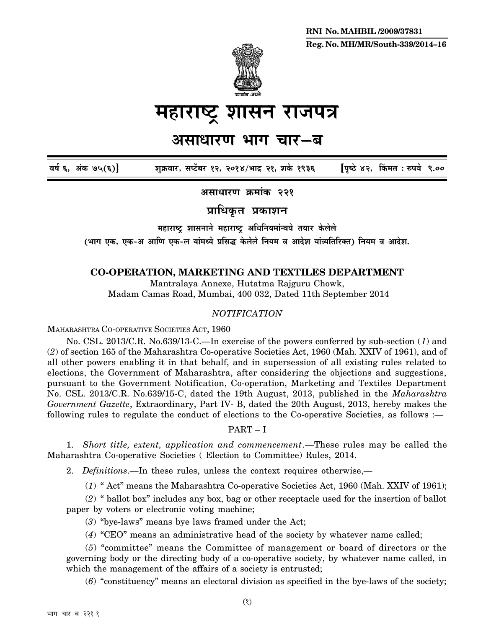

# महाराष्ट्र शासन राजपत्र

## असाधारण भाग चार**–**ब

**´É¹ÉÇ 6, +ÆEòú 75(6)] ¶ÉÖGò´ÉÉ®ú, ºÉ{]åõ¤É®ú 12, 2014/¦ÉÉpù 21, ¶ÉEäò 1936 [{ÉÞ¹`ä 42, ËEò¨ÉiÉ : ¯û{ɪÉä 9.00**

**+ºÉÉvÉÉ®úhÉ Gò¨ÉÉÆEòú 221**

 $\overline{\text{snf}}$ धिकृत प्रकाशन

**महाराष्ट्र शासनाने महाराष्ट्र अधिनियमांन्वये तयार केलेले** 

(भाग एक, एक-अ आणि एक-ल यांमध्ये प्रसिद्ध केलेले नियम व आदेश यांव्यतिरिक्त) नियम व आदेश.

### **CO-OPERATION, MARKETING AND TEXTILES DEPARTMENT**

Mantralaya Annexe, Hutatma Rajguru Chowk, Madam Camas Road, Mumbai, 400 032, Dated 11th September 2014

### *NOTIFICATION*

MAHARASHTRA CO-OPERATIVE SOCIETIES ACT, 1960

No. CSL. 2013/C.R. No.639/13-C.—In exercise of the powers conferred by sub-section (*1*) and (*2*) of section 165 of the Maharashtra Co-operative Societies Act, 1960 (Mah. XXIV of 1961), and of all other powers enabling it in that behalf, and in supersession of all existing rules related to elections, the Government of Maharashtra, after considering the objections and suggestions, pursuant to the Government Notification, Co-operation, Marketing and Textiles Department No. CSL. 2013/C.R. No.639/15-C, dated the 19th August, 2013, published in the *Maharashtra Government Gazette*, Extraordinary, Part IV- B, dated the 20th August, 2013, hereby makes the following rules to regulate the conduct of elections to the Co-operative Societies, as follows :—

### PART – I

1. *Short title, extent, application and commencement*.—These rules may be called the Maharashtra Co-operative Societies ( Election to Committee) Rules, 2014.

2. *Definitions*.—In these rules, unless the context requires otherwise,—

(*1*) " Act" means the Maharashtra Co-operative Societies Act, 1960 (Mah. XXIV of 1961);

(*2*) " ballot box" includes any box, bag or other receptacle used for the insertion of ballot paper by voters or electronic voting machine;

(*3*) "bye-laws" means bye laws framed under the Act;

(*4*) "CEO" means an administrative head of the society by whatever name called;

(*5*) "committee" means the Committee of management or board of directors or the governing body or the directing body of a co-operative society, by whatever name called, in which the management of the affairs of a society is entrusted;

(*6*) "constituency" means an electoral division as specified in the bye-laws of the society;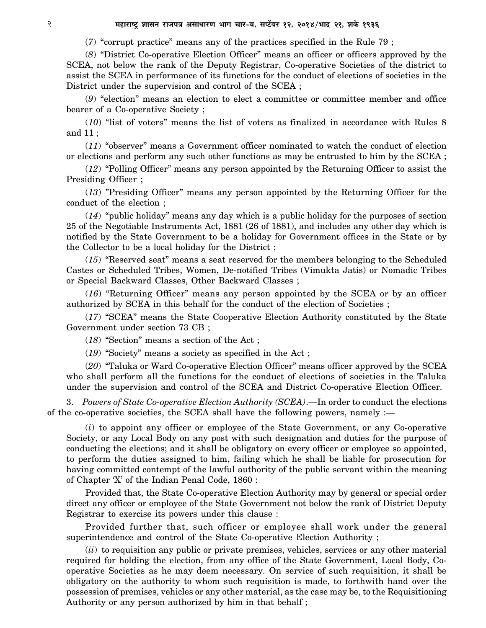(*7*) "corrupt practice" means any of the practices specified in the Rule 79 ;

(*8*) "District Co-operative Election Officer" means an officer or officers approved by the SCEA, not below the rank of the Deputy Registrar, Co-operative Societies of the district to assist the SCEA in performance of its functions for the conduct of elections of societies in the District under the supervision and control of the SCEA ;

(*9*) "election" means an election to elect a committee or committee member and office bearer of a Co-operative Society ;

(*10*) "list of voters" means the list of voters as finalized in accordance with Rules 8 and 11 ;

(*11*) "observer" means a Government officer nominated to watch the conduct of election or elections and perform any such other functions as may be entrusted to him by the SCEA ;

(*12*) "Polling Officer" means any person appointed by the Returning Officer to assist the Presiding Officer ;

(*13*) "Presiding Officer" means any person appointed by the Returning Officer for the conduct of the election ;

(*14*) "public holiday" means any day which is a public holiday for the purposes of section 25 of the Negotiable Instruments Act, 1881 (26 of 1881), and includes any other day which is notified by the State Government to be a holiday for Government offices in the State or by the Collector to be a local holiday for the District ;

(*15*) "Reserved seat" means a seat reserved for the members belonging to the Scheduled Castes or Scheduled Tribes, Women, De-notified Tribes (Vimukta Jatis) or Nomadic Tribes or Special Backward Classes, Other Backward Classes ;

(*16*) "Returning Officer" means any person appointed by the SCEA or by an officer authorized by SCEA in this behalf for the conduct of the election of Societies ;

(*17*) "SCEA" means the State Cooperative Election Authority constituted by the State Government under section 73 CB ;

(*18*) "Section" means a section of the Act ;

(*19*) "Society" means a society as specified in the Act ;

(*20*) "Taluka or Ward Co-operative Election Officer" means officer approved by the SCEA who shall perform all the functions for the conduct of elections of societies in the Taluka under the supervision and control of the SCEA and District Co-operative Election Officer.

3. *Powers of State Co-operative Election Authority (SCEA)*.—In order to conduct the elections of the co-operative societies, the SCEA shall have the following powers, namely :—

(*i*) to appoint any officer or employee of the State Government, or any Co-operative Society, or any Local Body on any post with such designation and duties for the purpose of conducting the elections; and it shall be obligatory on every officer or employee so appointed, to perform the duties assigned to him, failing which he shall be liable for prosecution for having committed contempt of the lawful authority of the public servant within the meaning of Chapter 'X' of the Indian Penal Code, 1860 :

Provided that, the State Co-operative Election Authority may by general or special order direct any officer or employee of the State Government not below the rank of District Deputy Registrar to exercise its powers under this clause :

Provided further that, such officer or employee shall work under the general superintendence and control of the State Co-operative Election Authority ;

(*ii*) to requisition any public or private premises, vehicles, services or any other material required for holding the election, from any office of the State Government, Local Body, Cooperative Societies as he may deem necessary. On service of such requisition, it shall be obligatory on the authority to whom such requisition is made, to forthwith hand over the possession of premises, vehicles or any other material, as the case may be, to the Requisitioning Authority or any person authorized by him in that behalf ;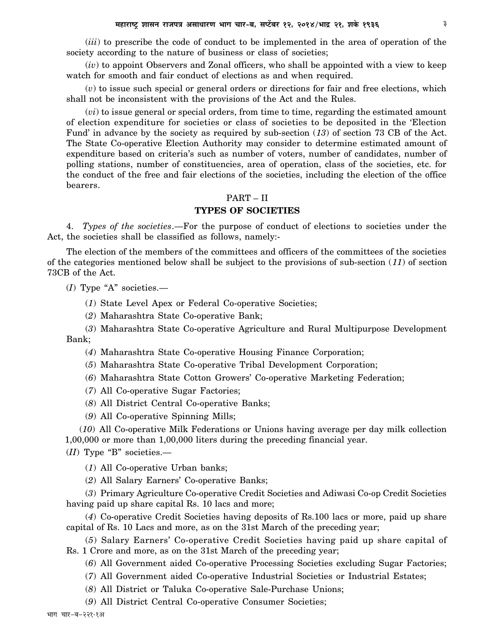(*iii*) to prescribe the code of conduct to be implemented in the area of operation of the society according to the nature of business or class of societies;

(*iv*) to appoint Observers and Zonal officers, who shall be appointed with a view to keep watch for smooth and fair conduct of elections as and when required.

(*v*) to issue such special or general orders or directions for fair and free elections, which shall not be inconsistent with the provisions of the Act and the Rules.

(*vi*) to issue general or special orders, from time to time, regarding the estimated amount of election expenditure for societies or class of societies to be deposited in the 'Election Fund' in advance by the society as required by sub-section (*13*) of section 73 CB of the Act. The State Co-operative Election Authority may consider to determine estimated amount of expenditure based on criteria's such as number of voters, number of candidates, number of polling stations, number of constituencies, area of operation, class of the societies, etc. for the conduct of the free and fair elections of the societies, including the election of the office bearers.

### PART – II

### **TYPES OF SOCIETIES**

4. *Types of the societies*.—For the purpose of conduct of elections to societies under the Act, the societies shall be classified as follows, namely:-

The election of the members of the committees and officers of the committees of the societies of the categories mentioned below shall be subject to the provisions of sub-section (*11*) of section 73CB of the Act.

(*I*) Type "A" societies.—

- (*1*) State Level Apex or Federal Co-operative Societies;
- (*2*) Maharashtra State Co-operative Bank;
- (*3*) Maharashtra State Co-operative Agriculture and Rural Multipurpose Development Bank;
	- (*4*) Maharashtra State Co-operative Housing Finance Corporation;
	- (*5*) Maharashtra State Co-operative Tribal Development Corporation;
	- (*6*) Maharashtra State Cotton Growers' Co-operative Marketing Federation;
	- (*7*) All Co-operative Sugar Factories;
	- (*8*) All District Central Co-operative Banks;
	- (*9*) All Co-operative Spinning Mills;

(*10*) All Co-operative Milk Federations or Unions having average per day milk collection 1,00,000 or more than 1,00,000 liters during the preceding financial year.

(*II*) Type "B" societies.—

(*1*) All Co-operative Urban banks;

(*2*) All Salary Earners' Co-operative Banks;

(*3*) Primary Agriculture Co-operative Credit Societies and Adiwasi Co-op Credit Societies having paid up share capital Rs. 10 lacs and more;

(*4*) Co-operative Credit Societies having deposits of Rs.100 lacs or more, paid up share capital of Rs. 10 Lacs and more, as on the 31st March of the preceding year;

(*5*) Salary Earners' Co-operative Credit Societies having paid up share capital of Rs. 1 Crore and more, as on the 31st March of the preceding year;

(*6*) All Government aided Co-operative Processing Societies excluding Sugar Factories;

- (*7*) All Government aided Co-operative Industrial Societies or Industrial Estates;
- (*8*) All District or Taluka Co-operative Sale-Purchase Unions;
- (*9*) All District Central Co-operative Consumer Societies;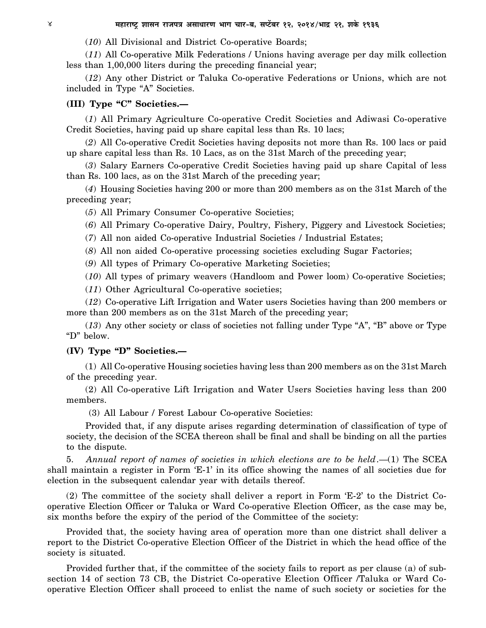(*10*) All Divisional and District Co-operative Boards;

(*11*) All Co-operative Milk Federations / Unions having average per day milk collection less than 1,00,000 liters during the preceding financial year;

(*12*) Any other District or Taluka Co-operative Federations or Unions, which are not included in Type "A" Societies.

### **(III) Type "C" Societies.—**

(*1*) All Primary Agriculture Co-operative Credit Societies and Adiwasi Co-operative Credit Societies, having paid up share capital less than Rs. 10 lacs;

(*2*) All Co-operative Credit Societies having deposits not more than Rs. 100 lacs or paid up share capital less than Rs. 10 Lacs, as on the 31st March of the preceding year;

(*3*) Salary Earners Co-operative Credit Societies having paid up share Capital of less than Rs. 100 lacs, as on the 31st March of the preceding year;

(*4*) Housing Societies having 200 or more than 200 members as on the 31st March of the preceding year;

(*5*) All Primary Consumer Co-operative Societies;

(*6*) All Primary Co-operative Dairy, Poultry, Fishery, Piggery and Livestock Societies;

(*7*) All non aided Co-operative Industrial Societies / Industrial Estates;

(*8*) All non aided Co-operative processing societies excluding Sugar Factories;

(*9*) All types of Primary Co-operative Marketing Societies;

(*10*) All types of primary weavers (Handloom and Power loom) Co-operative Societies;

(*11*) Other Agricultural Co-operative societies;

(*12*) Co-operative Lift Irrigation and Water users Societies having than 200 members or more than 200 members as on the 31st March of the preceding year;

(*13*) Any other society or class of societies not falling under Type "A", "B" above or Type "D" below.

### **(IV) Type "D" Societies.—**

(1) All Co-operative Housing societies having less than 200 members as on the 31st March of the preceding year.

(2) All Co-operative Lift Irrigation and Water Users Societies having less than 200 members.

(3) All Labour / Forest Labour Co-operative Societies:

Provided that, if any dispute arises regarding determination of classification of type of society, the decision of the SCEA thereon shall be final and shall be binding on all the parties to the dispute.

5. Annual report of names of societies in which elections are to be held.—(1) The SCEA shall maintain a register in Form 'E-1' in its office showing the names of all societies due for election in the subsequent calendar year with details thereof.

(2) The committee of the society shall deliver a report in Form 'E-2' to the District Cooperative Election Officer or Taluka or Ward Co-operative Election Officer, as the case may be, six months before the expiry of the period of the Committee of the society:

Provided that, the society having area of operation more than one district shall deliver a report to the District Co-operative Election Officer of the District in which the head office of the society is situated.

Provided further that, if the committee of the society fails to report as per clause (a) of subsection 14 of section 73 CB, the District Co-operative Election Officer /Taluka or Ward Cooperative Election Officer shall proceed to enlist the name of such society or societies for the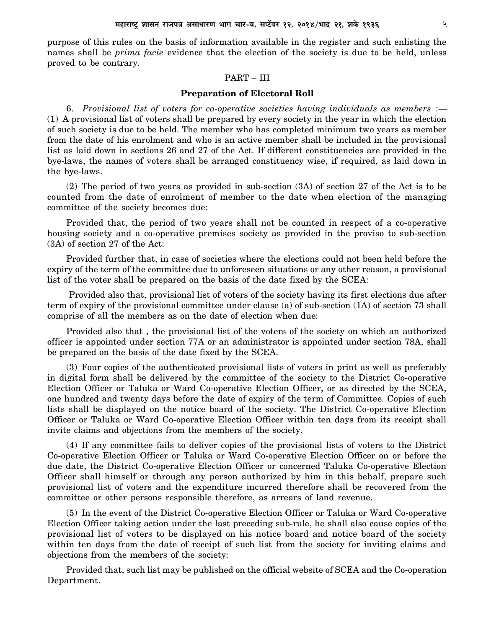purpose of this rules on the basis of information available in the register and such enlisting the names shall be *prima facie* evidence that the election of the society is due to be held, unless proved to be contrary.

### PART – III

### **Preparation of Electoral Roll**

6. *Provisional list of voters for co-operative societies having individuals as members* :— (1) A provisional list of voters shall be prepared by every society in the year in which the election of such society is due to be held. The member who has completed minimum two years as member from the date of his enrolment and who is an active member shall be included in the provisional list as laid down in sections 26 and 27 of the Act. If different constituencies are provided in the bye-laws, the names of voters shall be arranged constituency wise, if required, as laid down in the bye-laws.

(2) The period of two years as provided in sub-section (3A) of section 27 of the Act is to be counted from the date of enrolment of member to the date when election of the managing committee of the society becomes due:

Provided that, the period of two years shall not be counted in respect of a co-operative housing society and a co-operative premises society as provided in the proviso to sub-section (3A) of section 27 of the Act:

Provided further that, in case of societies where the elections could not been held before the expiry of the term of the committee due to unforeseen situations or any other reason, a provisional list of the voter shall be prepared on the basis of the date fixed by the SCEA:

 Provided also that, provisional list of voters of the society having its first elections due after term of expiry of the provisional committee under clause (a) of sub-section (1A) of section 73 shall comprise of all the members as on the date of election when due:

Provided also that , the provisional list of the voters of the society on which an authorized officer is appointed under section 77A or an administrator is appointed under section 78A, shall be prepared on the basis of the date fixed by the SCEA.

(3) Four copies of the authenticated provisional lists of voters in print as well as preferably in digital form shall be delivered by the committee of the society to the District Co-operative Election Officer or Taluka or Ward Co-operative Election Officer, or as directed by the SCEA, one hundred and twenty days before the date of expiry of the term of Committee. Copies of such lists shall be displayed on the notice board of the society. The District Co-operative Election Officer or Taluka or Ward Co-operative Election Officer within ten days from its receipt shall invite claims and objections from the members of the society.

(4) If any committee fails to deliver copies of the provisional lists of voters to the District Co-operative Election Officer or Taluka or Ward Co-operative Election Officer on or before the due date, the District Co-operative Election Officer or concerned Taluka Co-operative Election Officer shall himself or through any person authorized by him in this behalf, prepare such provisional list of voters and the expenditure incurred therefore shall be recovered from the committee or other persons responsible therefore, as arrears of land revenue.

(5) In the event of the District Co-operative Election Officer or Taluka or Ward Co-operative Election Officer taking action under the last preceding sub-rule, he shall also cause copies of the provisional list of voters to be displayed on his notice board and notice board of the society within ten days from the date of receipt of such list from the society for inviting claims and objections from the members of the society:

Provided that, such list may be published on the official website of SCEA and the Co-operation Department.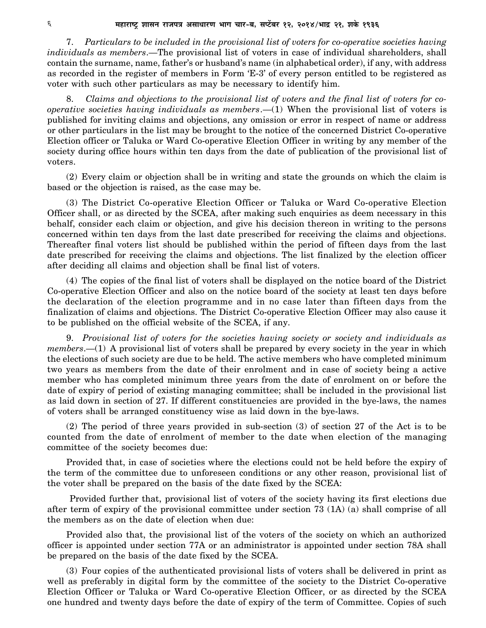7. *Particulars to be included in the provisional list of voters for co-operative societies having individuals as members*.—The provisional list of voters in case of individual shareholders, shall contain the surname, name, father's or husband's name (in alphabetical order), if any, with address as recorded in the register of members in Form 'E-3' of every person entitled to be registered as voter with such other particulars as may be necessary to identify him.

8. *Claims and objections to the provisional list of voters and the final list of voters for cooperative societies having individuals as members*.—(1) When the provisional list of voters is published for inviting claims and objections, any omission or error in respect of name or address or other particulars in the list may be brought to the notice of the concerned District Co-operative Election officer or Taluka or Ward Co-operative Election Officer in writing by any member of the society during office hours within ten days from the date of publication of the provisional list of voters.

(2) Every claim or objection shall be in writing and state the grounds on which the claim is based or the objection is raised, as the case may be.

(3) The District Co-operative Election Officer or Taluka or Ward Co-operative Election Officer shall, or as directed by the SCEA, after making such enquiries as deem necessary in this behalf, consider each claim or objection, and give his decision thereon in writing to the persons concerned within ten days from the last date prescribed for receiving the claims and objections. Thereafter final voters list should be published within the period of fifteen days from the last date prescribed for receiving the claims and objections. The list finalized by the election officer after deciding all claims and objection shall be final list of voters.

(4) The copies of the final list of voters shall be displayed on the notice board of the District Co-operative Election Officer and also on the notice board of the society at least ten days before the declaration of the election programme and in no case later than fifteen days from the finalization of claims and objections. The District Co-operative Election Officer may also cause it to be published on the official website of the SCEA, if any.

9. *Provisional list of voters for the societies having society or society and individuals as members*.—(1) A provisional list of voters shall be prepared by every society in the year in which the elections of such society are due to be held. The active members who have completed minimum two years as members from the date of their enrolment and in case of society being a active member who has completed minimum three years from the date of enrolment on or before the date of expiry of period of existing managing committee; shall be included in the provisional list as laid down in section of 27. If different constituencies are provided in the bye-laws, the names of voters shall be arranged constituency wise as laid down in the bye-laws.

(2) The period of three years provided in sub-section (3) of section 27 of the Act is to be counted from the date of enrolment of member to the date when election of the managing committee of the society becomes due:

Provided that, in case of societies where the elections could not be held before the expiry of the term of the committee due to unforeseen conditions or any other reason, provisional list of the voter shall be prepared on the basis of the date fixed by the SCEA:

 Provided further that, provisional list of voters of the society having its first elections due after term of expiry of the provisional committee under section 73 (1A) (a) shall comprise of all the members as on the date of election when due:

Provided also that, the provisional list of the voters of the society on which an authorized officer is appointed under section 77A or an administrator is appointed under section 78A shall be prepared on the basis of the date fixed by the SCEA.

(3) Four copies of the authenticated provisional lists of voters shall be delivered in print as well as preferably in digital form by the committee of the society to the District Co-operative Election Officer or Taluka or Ward Co-operative Election Officer, or as directed by the SCEA one hundred and twenty days before the date of expiry of the term of Committee. Copies of such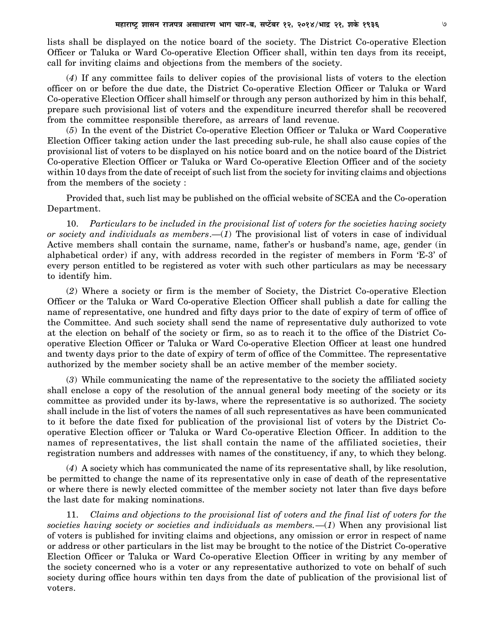lists shall be displayed on the notice board of the society. The District Co-operative Election Officer or Taluka or Ward Co-operative Election Officer shall, within ten days from its receipt, call for inviting claims and objections from the members of the society.

(*4*) If any committee fails to deliver copies of the provisional lists of voters to the election officer on or before the due date, the District Co-operative Election Officer or Taluka or Ward Co-operative Election Officer shall himself or through any person authorized by him in this behalf, prepare such provisional list of voters and the expenditure incurred therefor shall be recovered from the committee responsible therefore, as arrears of land revenue.

(*5*) In the event of the District Co-operative Election Officer or Taluka or Ward Cooperative Election Officer taking action under the last preceding sub-rule, he shall also cause copies of the provisional list of voters to be displayed on his notice board and on the notice board of the District Co-operative Election Officer or Taluka or Ward Co-operative Election Officer and of the society within 10 days from the date of receipt of such list from the society for inviting claims and objections from the members of the society :

Provided that, such list may be published on the official website of SCEA and the Co-operation Department.

10. *Particulars to be included in the provisional list of voters for the societies having society or society and individuals as members*.—(*1*) The provisional list of voters in case of individual Active members shall contain the surname, name, father's or husband's name, age, gender (in alphabetical order) if any, with address recorded in the register of members in Form 'E-3' of every person entitled to be registered as voter with such other particulars as may be necessary to identify him.

(*2*) Where a society or firm is the member of Society, the District Co-operative Election Officer or the Taluka or Ward Co-operative Election Officer shall publish a date for calling the name of representative, one hundred and fifty days prior to the date of expiry of term of office of the Committee. And such society shall send the name of representative duly authorized to vote at the election on behalf of the society or firm, so as to reach it to the office of the District Cooperative Election Officer or Taluka or Ward Co-operative Election Officer at least one hundred and twenty days prior to the date of expiry of term of office of the Committee. The representative authorized by the member society shall be an active member of the member society.

(*3*) While communicating the name of the representative to the society the affiliated society shall enclose a copy of the resolution of the annual general body meeting of the society or its committee as provided under its by-laws, where the representative is so authorized. The society shall include in the list of voters the names of all such representatives as have been communicated to it before the date fixed for publication of the provisional list of voters by the District Cooperative Election officer or Taluka or Ward Co-operative Election Officer. In addition to the names of representatives, the list shall contain the name of the affiliated societies, their registration numbers and addresses with names of the constituency, if any, to which they belong.

(*4*) A society which has communicated the name of its representative shall, by like resolution, be permitted to change the name of its representative only in case of death of the representative or where there is newly elected committee of the member society not later than five days before the last date for making nominations.

11. *Claims and objections to the provisional list of voters and the final list of voters for the societies having society or societies and individuals as members.*—(*1*) When any provisional list of voters is published for inviting claims and objections, any omission or error in respect of name or address or other particulars in the list may be brought to the notice of the District Co-operative Election Officer or Taluka or Ward Co-operative Election Officer in writing by any member of the society concerned who is a voter or any representative authorized to vote on behalf of such society during office hours within ten days from the date of publication of the provisional list of voters.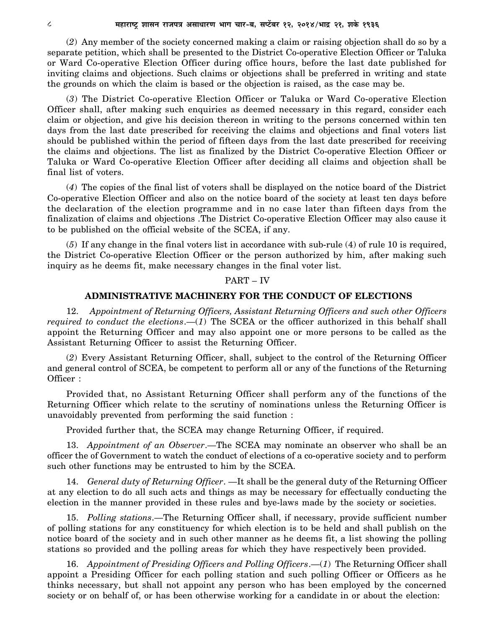(*2*) Any member of the society concerned making a claim or raising objection shall do so by a separate petition, which shall be presented to the District Co-operative Election Officer or Taluka or Ward Co-operative Election Officer during office hours, before the last date published for inviting claims and objections. Such claims or objections shall be preferred in writing and state the grounds on which the claim is based or the objection is raised, as the case may be.

(*3*) The District Co-operative Election Officer or Taluka or Ward Co-operative Election Officer shall, after making such enquiries as deemed necessary in this regard, consider each claim or objection, and give his decision thereon in writing to the persons concerned within ten days from the last date prescribed for receiving the claims and objections and final voters list should be published within the period of fifteen days from the last date prescribed for receiving the claims and objections. The list as finalized by the District Co-operative Election Officer or Taluka or Ward Co-operative Election Officer after deciding all claims and objection shall be final list of voters.

(*4*) The copies of the final list of voters shall be displayed on the notice board of the District Co-operative Election Officer and also on the notice board of the society at least ten days before the declaration of the election programme and in no case later than fifteen days from the finalization of claims and objections .The District Co-operative Election Officer may also cause it to be published on the official website of the SCEA, if any.

(*5*) If any change in the final voters list in accordance with sub-rule (4) of rule 10 is required, the District Co-operative Election Officer or the person authorized by him, after making such inquiry as he deems fit, make necessary changes in the final voter list.

### PART – IV

### **ADMINISTRATIVE MACHINERY FOR THE CONDUCT OF ELECTIONS**

12. *Appointment of Returning Officers, Assistant Returning Officers and such other Officers required to conduct the elections*.—(*1*) The SCEA or the officer authorized in this behalf shall appoint the Returning Officer and may also appoint one or more persons to be called as the Assistant Returning Officer to assist the Returning Officer.

(*2*) Every Assistant Returning Officer, shall, subject to the control of the Returning Officer and general control of SCEA, be competent to perform all or any of the functions of the Returning Officer :

Provided that, no Assistant Returning Officer shall perform any of the functions of the Returning Officer which relate to the scrutiny of nominations unless the Returning Officer is unavoidably prevented from performing the said function :

Provided further that, the SCEA may change Returning Officer, if required.

13. *Appointment of an Observer*.—The SCEA may nominate an observer who shall be an officer the of Government to watch the conduct of elections of a co-operative society and to perform such other functions may be entrusted to him by the SCEA.

14. *General duty of Returning Officer*. —It shall be the general duty of the Returning Officer at any election to do all such acts and things as may be necessary for effectually conducting the election in the manner provided in these rules and bye-laws made by the society or societies.

15. *Polling stations*.—The Returning Officer shall, if necessary, provide sufficient number of polling stations for any constituency for which election is to be held and shall publish on the notice board of the society and in such other manner as he deems fit, a list showing the polling stations so provided and the polling areas for which they have respectively been provided.

16. *Appointment of Presiding Officers and Polling Officers*.—(*1*) The Returning Officer shall appoint a Presiding Officer for each polling station and such polling Officer or Officers as he thinks necessary, but shall not appoint any person who has been employed by the concerned society or on behalf of, or has been otherwise working for a candidate in or about the election: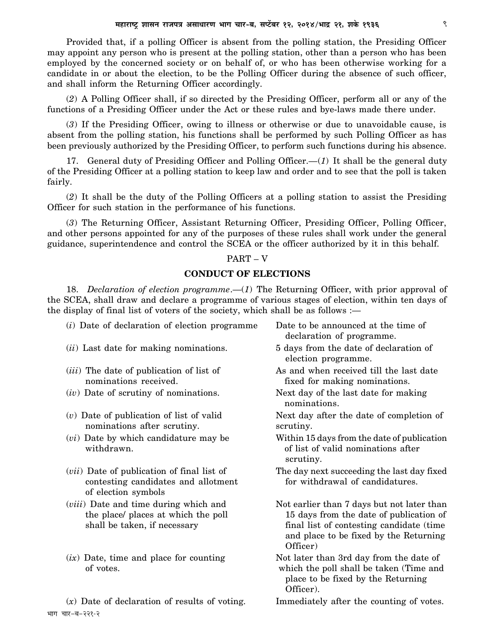Provided that, if a polling Officer is absent from the polling station, the Presiding Officer may appoint any person who is present at the polling station, other than a person who has been employed by the concerned society or on behalf of, or who has been otherwise working for a candidate in or about the election, to be the Polling Officer during the absence of such officer, and shall inform the Returning Officer accordingly.

(*2*) A Polling Officer shall, if so directed by the Presiding Officer, perform all or any of the functions of a Presiding Officer under the Act or these rules and bye-laws made there under.

(*3*) If the Presiding Officer, owing to illness or otherwise or due to unavoidable cause, is absent from the polling station, his functions shall be performed by such Polling Officer as has been previously authorized by the Presiding Officer, to perform such functions during his absence.

17. General duty of Presiding Officer and Polling Officer.—(*1*) It shall be the general duty of the Presiding Officer at a polling station to keep law and order and to see that the poll is taken fairly.

(*2*) It shall be the duty of the Polling Officers at a polling station to assist the Presiding Officer for such station in the performance of his functions.

(*3*) The Returning Officer, Assistant Returning Officer, Presiding Officer, Polling Officer, and other persons appointed for any of the purposes of these rules shall work under the general guidance, superintendence and control the SCEA or the officer authorized by it in this behalf.

#### PART – V

### **CONDUCT OF ELECTIONS**

18. *Declaration of election programme*.—(*1*) The Returning Officer, with prior approval of the SCEA, shall draw and declare a programme of various stages of election, within ten days of the display of final list of voters of the society, which shall be as follows :—

- (*i*) Date of declaration of election programme Date to be announced at the time of
- (*ii*) Last date for making nominations. 5 days from the date of declaration of
- nominations received. **fixed for making nominations.**
- 
- nominations after scrutiny. Scrutiny.
- withdrawn.  $\qquad \qquad$  of list of valid nominations after
- (*vii*) Date of publication of final list of The day next succeeding the last day fixed contesting candidates and allotment for withdrawal of candidatures. of election symbols
- 
- 

भाग चार-ब-२२१-२

- declaration of programme.
- election programme.
- (*iii*) The date of publication of list of As and when received till the last date
- (*iv*) Date of scrutiny of nominations. Next day of the last date for making nominations.

(*v*) Date of publication of list of valid Next day after the date of completion of

- (*vi*) Date by which candidature may be Within 15 days from the date of publication scrutiny.
	-
- *(viii)* Date and time during which and Not earlier than 7 days but not later than the place/ places at which the poll 15 days from the date of publication of shall be taken, if necessary final list of contesting candidate (time and place to be fixed by the Returning Officer)
- $(ix)$  Date, time and place for counting  $x^2 + 1$  Not later than 3rd day from the date of of votes. which the poll shall be taken (Time and place to be fixed by the Returning Officer).
- (*x*) Date of declaration of results of voting. Immediately after the counting of votes.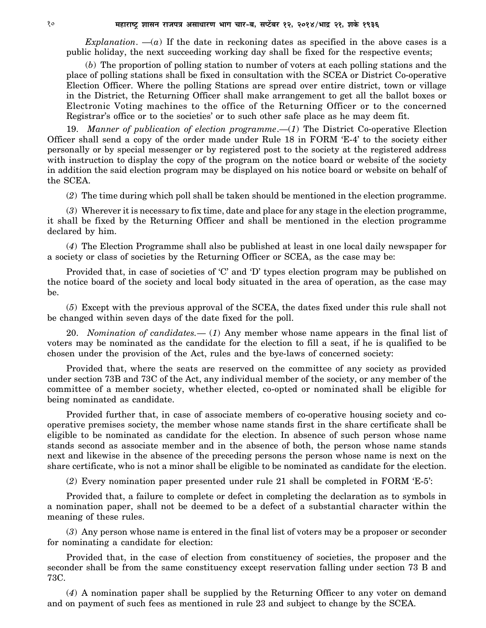*Explanation.*  $-(a)$  If the date in reckoning dates as specified in the above cases is a public holiday, the next succeeding working day shall be fixed for the respective events;

(*b*) The proportion of polling station to number of voters at each polling stations and the place of polling stations shall be fixed in consultation with the SCEA or District Co-operative Election Officer. Where the polling Stations are spread over entire district, town or village in the District, the Returning Officer shall make arrangement to get all the ballot boxes or Electronic Voting machines to the office of the Returning Officer or to the concerned Registrar's office or to the societies' or to such other safe place as he may deem fit.

19. *Manner of publication of election programme*.—(*1*) The District Co-operative Election Officer shall send a copy of the order made under Rule 18 in FORM 'E-4' to the society either personally or by special messenger or by registered post to the society at the registered address with instruction to display the copy of the program on the notice board or website of the society in addition the said election program may be displayed on his notice board or website on behalf of the SCEA.

(*2*) The time during which poll shall be taken should be mentioned in the election programme.

(*3*) Wherever it is necessary to fix time, date and place for any stage in the election programme, it shall be fixed by the Returning Officer and shall be mentioned in the election programme declared by him.

(*4*) The Election Programme shall also be published at least in one local daily newspaper for a society or class of societies by the Returning Officer or SCEA, as the case may be:

Provided that, in case of societies of 'C' and 'D' types election program may be published on the notice board of the society and local body situated in the area of operation, as the case may be.

(*5*) Except with the previous approval of the SCEA, the dates fixed under this rule shall not be changed within seven days of the date fixed for the poll.

20. *Nomination of candidates.*— (*1*) Any member whose name appears in the final list of voters may be nominated as the candidate for the election to fill a seat, if he is qualified to be chosen under the provision of the Act, rules and the bye-laws of concerned society:

Provided that, where the seats are reserved on the committee of any society as provided under section 73B and 73C of the Act, any individual member of the society, or any member of the committee of a member society, whether elected, co-opted or nominated shall be eligible for being nominated as candidate.

Provided further that, in case of associate members of co-operative housing society and cooperative premises society, the member whose name stands first in the share certificate shall be eligible to be nominated as candidate for the election. In absence of such person whose name stands second as associate member and in the absence of both, the person whose name stands next and likewise in the absence of the preceding persons the person whose name is next on the share certificate, who is not a minor shall be eligible to be nominated as candidate for the election.

(*2*) Every nomination paper presented under rule 21 shall be completed in FORM 'E-5':

Provided that, a failure to complete or defect in completing the declaration as to symbols in a nomination paper, shall not be deemed to be a defect of a substantial character within the meaning of these rules.

(*3*) Any person whose name is entered in the final list of voters may be a proposer or seconder for nominating a candidate for election:

Provided that, in the case of election from constituency of societies, the proposer and the seconder shall be from the same constituency except reservation falling under section 73 B and 73C.

(*4*) A nomination paper shall be supplied by the Returning Officer to any voter on demand and on payment of such fees as mentioned in rule 23 and subject to change by the SCEA.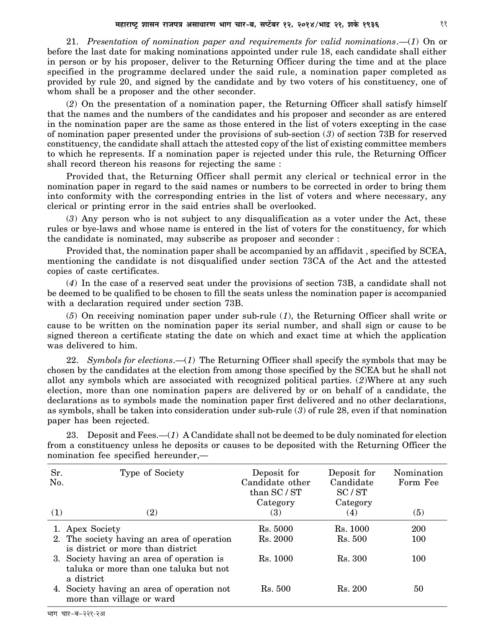21. *Presentation of nomination paper and requirements for valid nominations*.—(*1*) On or before the last date for making nominations appointed under rule 18, each candidate shall either in person or by his proposer, deliver to the Returning Officer during the time and at the place specified in the programme declared under the said rule, a nomination paper completed as provided by rule 20, and signed by the candidate and by two voters of his constituency, one of whom shall be a proposer and the other seconder.

(*2*) On the presentation of a nomination paper, the Returning Officer shall satisfy himself that the names and the numbers of the candidates and his proposer and seconder as are entered in the nomination paper are the same as those entered in the list of voters excepting in the case of nomination paper presented under the provisions of sub-section (*3*) of section 73B for reserved constituency, the candidate shall attach the attested copy of the list of existing committee members to which he represents. If a nomination paper is rejected under this rule, the Returning Officer shall record thereon his reasons for rejecting the same :

Provided that, the Returning Officer shall permit any clerical or technical error in the nomination paper in regard to the said names or numbers to be corrected in order to bring them into conformity with the corresponding entries in the list of voters and where necessary, any clerical or printing error in the said entries shall be overlooked.

(*3*) Any person who is not subject to any disqualification as a voter under the Act, these rules or bye-laws and whose name is entered in the list of voters for the constituency, for which the candidate is nominated, may subscribe as proposer and seconder :

Provided that, the nomination paper shall be accompanied by an affidavit , specified by SCEA, mentioning the candidate is not disqualified under section 73CA of the Act and the attested copies of caste certificates.

(*4*) In the case of a reserved seat under the provisions of section 73B, a candidate shall not be deemed to be qualified to be chosen to fill the seats unless the nomination paper is accompanied with a declaration required under section 73B.

(*5*) On receiving nomination paper under sub-rule (*1*), the Returning Officer shall write or cause to be written on the nomination paper its serial number, and shall sign or cause to be signed thereon a certificate stating the date on which and exact time at which the application was delivered to him.

22. *Symbols for elections*.—(*1*) The Returning Officer shall specify the symbols that may be chosen by the candidates at the election from among those specified by the SCEA but he shall not allot any symbols which are associated with recognized political parties. (*2*)Where at any such election, more than one nomination papers are delivered by or on behalf of a candidate, the declarations as to symbols made the nomination paper first delivered and no other declarations, as symbols, shall be taken into consideration under sub-rule (*3*) of rule 28, even if that nomination paper has been rejected.

| Sr.<br>No.<br>(1) | Type of Society<br>(2)                                                                            | Deposit for<br>Candidate other<br>than SC / ST<br>Category<br>(3) | Deposit for<br>Candidate<br>SC/ST<br>Category<br>(4) | Nomination<br>Form Fee<br>(5) |
|-------------------|---------------------------------------------------------------------------------------------------|-------------------------------------------------------------------|------------------------------------------------------|-------------------------------|
|                   | 1. Apex Society                                                                                   | Rs. 5000                                                          | Rs. 1000                                             | <b>200</b>                    |
|                   | 2. The society having an area of operation<br>is district or more than district                   | Rs. 2000                                                          | Rs. 500                                              | 100                           |
|                   | 3. Society having an area of operation is<br>taluka or more than one taluka but not<br>a district | Rs. 1000                                                          | Rs. 300                                              | 100                           |
|                   | 4. Society having an area of operation not<br>more than village or ward                           | Rs. 500                                                           | Rs. 200                                              | 50                            |

23. Deposit and Fees.—(*1*) A Candidate shall not be deemed to be duly nominated for election from a constituency unless he deposits or causes to be deposited with the Returning Officer the nomination fee specified hereunder,—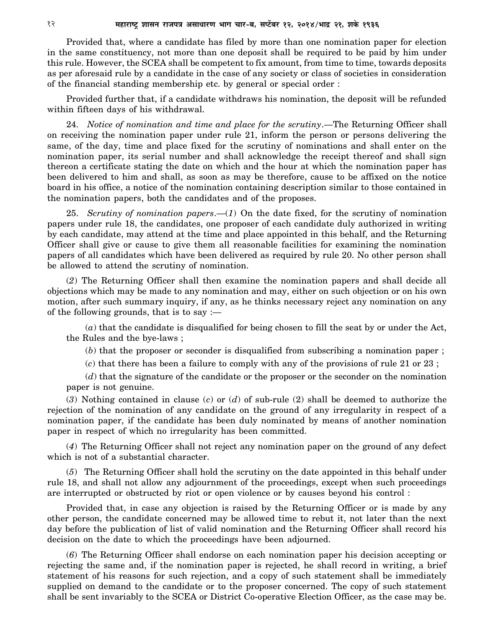Provided that, where a candidate has filed by more than one nomination paper for election in the same constituency, not more than one deposit shall be required to be paid by him under this rule. However, the SCEA shall be competent to fix amount, from time to time, towards deposits as per aforesaid rule by a candidate in the case of any society or class of societies in consideration of the financial standing membership etc. by general or special order :

Provided further that, if a candidate withdraws his nomination, the deposit will be refunded within fifteen days of his withdrawal.

24. *Notice of nomination and time and place for the scrutiny*.—The Returning Officer shall on receiving the nomination paper under rule 21, inform the person or persons delivering the same, of the day, time and place fixed for the scrutiny of nominations and shall enter on the nomination paper, its serial number and shall acknowledge the receipt thereof and shall sign thereon a certificate stating the date on which and the hour at which the nomination paper has been delivered to him and shall, as soon as may be therefore, cause to be affixed on the notice board in his office, a notice of the nomination containing description similar to those contained in the nomination papers, both the candidates and of the proposes.

25. *Scrutiny of nomination papers*.—(*1*) On the date fixed, for the scrutiny of nomination papers under rule 18, the candidates, one proposer of each candidate duly authorized in writing by each candidate, may attend at the time and place appointed in this behalf, and the Returning Officer shall give or cause to give them all reasonable facilities for examining the nomination papers of all candidates which have been delivered as required by rule 20. No other person shall be allowed to attend the scrutiny of nomination.

(*2*) The Returning Officer shall then examine the nomination papers and shall decide all objections which may be made to any nomination and may, either on such objection or on his own motion, after such summary inquiry, if any, as he thinks necessary reject any nomination on any of the following grounds, that is to say :—

(*a*) that the candidate is disqualified for being chosen to fill the seat by or under the Act, the Rules and the bye-laws ;

(*b*) that the proposer or seconder is disqualified from subscribing a nomination paper ;

(*c*) that there has been a failure to comply with any of the provisions of rule 21 or 23 ;

(*d*) that the signature of the candidate or the proposer or the seconder on the nomination paper is not genuine.

(*3*) Nothing contained in clause (*c*) or (*d*) of sub-rule (2) shall be deemed to authorize the rejection of the nomination of any candidate on the ground of any irregularity in respect of a nomination paper, if the candidate has been duly nominated by means of another nomination paper in respect of which no irregularity has been committed.

(*4*) The Returning Officer shall not reject any nomination paper on the ground of any defect which is not of a substantial character.

(*5*) The Returning Officer shall hold the scrutiny on the date appointed in this behalf under rule 18, and shall not allow any adjournment of the proceedings, except when such proceedings are interrupted or obstructed by riot or open violence or by causes beyond his control :

Provided that, in case any objection is raised by the Returning Officer or is made by any other person, the candidate concerned may be allowed time to rebut it, not later than the next day before the publication of list of valid nomination and the Returning Officer shall record his decision on the date to which the proceedings have been adjourned.

(*6*) The Returning Officer shall endorse on each nomination paper his decision accepting or rejecting the same and, if the nomination paper is rejected, he shall record in writing, a brief statement of his reasons for such rejection, and a copy of such statement shall be immediately supplied on demand to the candidate or to the proposer concerned. The copy of such statement shall be sent invariably to the SCEA or District Co-operative Election Officer, as the case may be.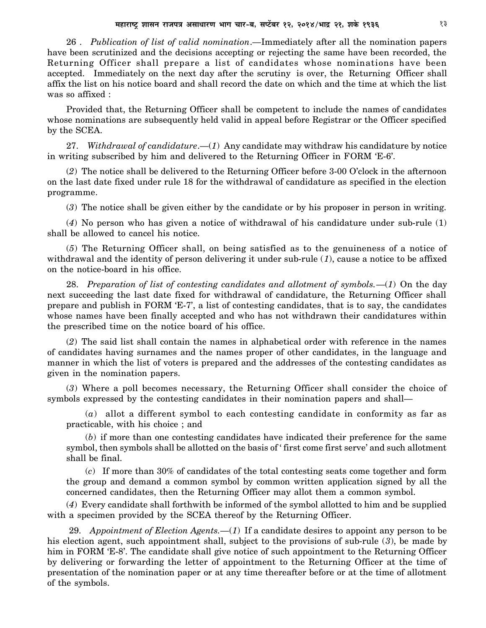26 . *Publication of list of valid nomination*.—Immediately after all the nomination papers have been scrutinized and the decisions accepting or rejecting the same have been recorded, the Returning Officer shall prepare a list of candidates whose nominations have been accepted. Immediately on the next day after the scrutiny is over, the Returning Officer shall affix the list on his notice board and shall record the date on which and the time at which the list was so affixed :

Provided that, the Returning Officer shall be competent to include the names of candidates whose nominations are subsequently held valid in appeal before Registrar or the Officer specified by the SCEA.

27. *Withdrawal of candidature*.—(*1*) Any candidate may withdraw his candidature by notice in writing subscribed by him and delivered to the Returning Officer in FORM 'E-6'.

(*2*) The notice shall be delivered to the Returning Officer before 3-00 O'clock in the afternoon on the last date fixed under rule 18 for the withdrawal of candidature as specified in the election programme.

(*3*) The notice shall be given either by the candidate or by his proposer in person in writing.

(*4*) No person who has given a notice of withdrawal of his candidature under sub-rule (1) shall be allowed to cancel his notice.

(*5*) The Returning Officer shall, on being satisfied as to the genuineness of a notice of withdrawal and the identity of person delivering it under sub-rule (*1*), cause a notice to be affixed on the notice-board in his office.

28. *Preparation of list of contesting candidates and allotment of symbols.*—(*1*) On the day next succeeding the last date fixed for withdrawal of candidature, the Returning Officer shall prepare and publish in FORM 'E-7', a list of contesting candidates, that is to say, the candidates whose names have been finally accepted and who has not withdrawn their candidatures within the prescribed time on the notice board of his office.

(*2*) The said list shall contain the names in alphabetical order with reference in the names of candidates having surnames and the names proper of other candidates, in the language and manner in which the list of voters is prepared and the addresses of the contesting candidates as given in the nomination papers.

(*3*) Where a poll becomes necessary, the Returning Officer shall consider the choice of symbols expressed by the contesting candidates in their nomination papers and shall—

(*a*) allot a different symbol to each contesting candidate in conformity as far as practicable, with his choice ; and

(*b*) if more than one contesting candidates have indicated their preference for the same symbol, then symbols shall be allotted on the basis of ' first come first serve' and such allotment shall be final.

(*c*) If more than 30% of candidates of the total contesting seats come together and form the group and demand a common symbol by common written application signed by all the concerned candidates, then the Returning Officer may allot them a common symbol.

(*4*) Every candidate shall forthwith be informed of the symbol allotted to him and be supplied with a specimen provided by the SCEA thereof by the Returning Officer.

 29. *Appointment of Election Agents.—*(*1*) If a candidate desires to appoint any person to be his election agent, such appointment shall, subject to the provisions of sub-rule (*3*), be made by him in FORM 'E-8'. The candidate shall give notice of such appointment to the Returning Officer by delivering or forwarding the letter of appointment to the Returning Officer at the time of presentation of the nomination paper or at any time thereafter before or at the time of allotment of the symbols.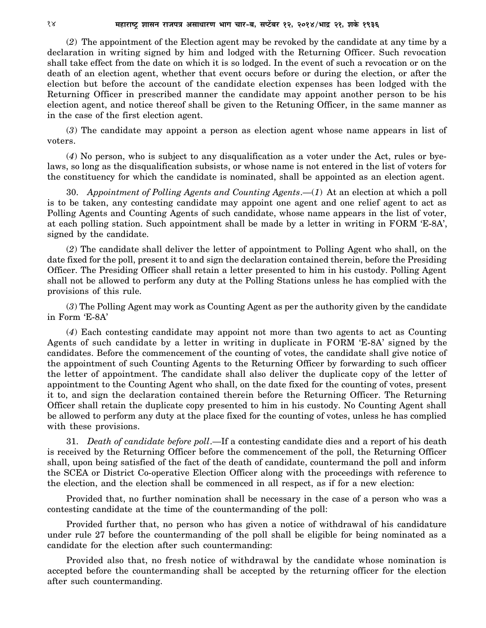(*2*) The appointment of the Election agent may be revoked by the candidate at any time by a declaration in writing signed by him and lodged with the Returning Officer. Such revocation shall take effect from the date on which it is so lodged. In the event of such a revocation or on the death of an election agent, whether that event occurs before or during the election, or after the election but before the account of the candidate election expenses has been lodged with the Returning Officer in prescribed manner the candidate may appoint another person to be his election agent, and notice thereof shall be given to the Retuning Officer, in the same manner as in the case of the first election agent.

(*3*) The candidate may appoint a person as election agent whose name appears in list of voters.

(*4*) No person, who is subject to any disqualification as a voter under the Act, rules or byelaws, so long as the disqualification subsists, or whose name is not entered in the list of voters for the constituency for which the candidate is nominated, shall be appointed as an election agent.

30. *Appointment of Polling Agents and Counting Agents*.—(*1*) At an election at which a poll is to be taken, any contesting candidate may appoint one agent and one relief agent to act as Polling Agents and Counting Agents of such candidate, whose name appears in the list of voter, at each polling station. Such appointment shall be made by a letter in writing in FORM 'E-8A', signed by the candidate.

(*2*) The candidate shall deliver the letter of appointment to Polling Agent who shall, on the date fixed for the poll, present it to and sign the declaration contained therein, before the Presiding Officer. The Presiding Officer shall retain a letter presented to him in his custody. Polling Agent shall not be allowed to perform any duty at the Polling Stations unless he has complied with the provisions of this rule.

(*3*) The Polling Agent may work as Counting Agent as per the authority given by the candidate in Form 'E-8A'

(*4*) Each contesting candidate may appoint not more than two agents to act as Counting Agents of such candidate by a letter in writing in duplicate in FORM 'E-8A' signed by the candidates. Before the commencement of the counting of votes, the candidate shall give notice of the appointment of such Counting Agents to the Returning Officer by forwarding to such officer the letter of appointment. The candidate shall also deliver the duplicate copy of the letter of appointment to the Counting Agent who shall, on the date fixed for the counting of votes, present it to, and sign the declaration contained therein before the Returning Officer. The Returning Officer shall retain the duplicate copy presented to him in his custody. No Counting Agent shall be allowed to perform any duty at the place fixed for the counting of votes, unless he has complied with these provisions.

31. *Death of candidate before poll*.—If a contesting candidate dies and a report of his death is received by the Returning Officer before the commencement of the poll, the Returning Officer shall, upon being satisfied of the fact of the death of candidate, countermand the poll and inform the SCEA or District Co-operative Election Officer along with the proceedings with reference to the election, and the election shall be commenced in all respect, as if for a new election:

Provided that, no further nomination shall be necessary in the case of a person who was a contesting candidate at the time of the countermanding of the poll:

Provided further that, no person who has given a notice of withdrawal of his candidature under rule 27 before the countermanding of the poll shall be eligible for being nominated as a candidate for the election after such countermanding:

Provided also that, no fresh notice of withdrawal by the candidate whose nomination is accepted before the countermanding shall be accepted by the returning officer for the election after such countermanding.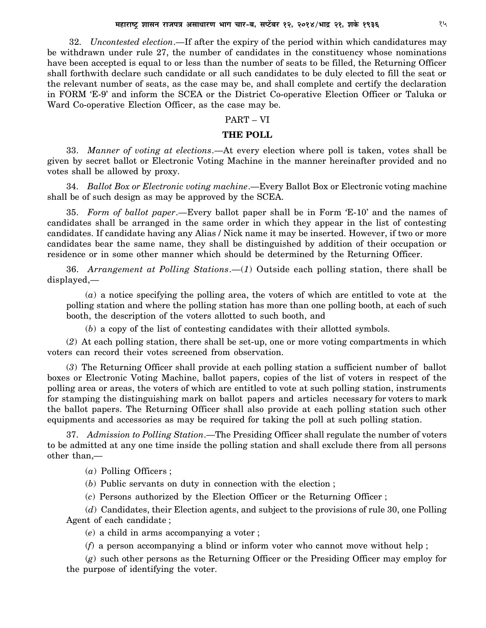32. *Uncontested election*.—If after the expiry of the period within which candidatures may be withdrawn under rule 27, the number of candidates in the constituency whose nominations have been accepted is equal to or less than the number of seats to be filled, the Returning Officer shall forthwith declare such candidate or all such candidates to be duly elected to fill the seat or the relevant number of seats, as the case may be, and shall complete and certify the declaration in FORM 'E-9' and inform the SCEA or the District Co-operative Election Officer or Taluka or Ward Co-operative Election Officer, as the case may be.

### PART – VI

### **THE POLL**

33. *Manner of voting at elections*.—At every election where poll is taken, votes shall be given by secret ballot or Electronic Voting Machine in the manner hereinafter provided and no votes shall be allowed by proxy.

34. *Ballot Box or Electronic voting machine*.—Every Ballot Box or Electronic voting machine shall be of such design as may be approved by the SCEA.

35. *Form of ballot paper*.—Every ballot paper shall be in Form 'E-10' and the names of candidates shall be arranged in the same order in which they appear in the list of contesting candidates. If candidate having any Alias / Nick name it may be inserted. However, if two or more candidates bear the same name, they shall be distinguished by addition of their occupation or residence or in some other manner which should be determined by the Returning Officer.

36. *Arrangement at Polling Stations*.—(*1*) Outside each polling station, there shall be displayed,—

(*a*) a notice specifying the polling area, the voters of which are entitled to vote at the polling station and where the polling station has more than one polling booth, at each of such booth, the description of the voters allotted to such booth, and

(*b*) a copy of the list of contesting candidates with their allotted symbols.

(*2*) At each polling station, there shall be set-up, one or more voting compartments in which voters can record their votes screened from observation.

(*3*) The Returning Officer shall provide at each polling station a sufficient number of ballot boxes or Electronic Voting Machine, ballot papers, copies of the list of voters in respect of the polling area or areas, the voters of which are entitled to vote at such polling station, instruments for stamping the distinguishing mark on ballot papers and articles necessary for voters to mark the ballot papers. The Returning Officer shall also provide at each polling station such other equipments and accessories as may be required for taking the poll at such polling station.

37. *Admission to Polling Station*.—The Presiding Officer shall regulate the number of voters to be admitted at any one time inside the polling station and shall exclude there from all persons other than,—

(*a*) Polling Officers ;

(*b*) Public servants on duty in connection with the election ;

(*c*) Persons authorized by the Election Officer or the Returning Officer ;

(*d*) Candidates, their Election agents, and subject to the provisions of rule 30, one Polling Agent of each candidate ;

(*e*) a child in arms accompanying a voter ;

(*f*) a person accompanying a blind or inform voter who cannot move without help ;

(*g*) such other persons as the Returning Officer or the Presiding Officer may employ for the purpose of identifying the voter.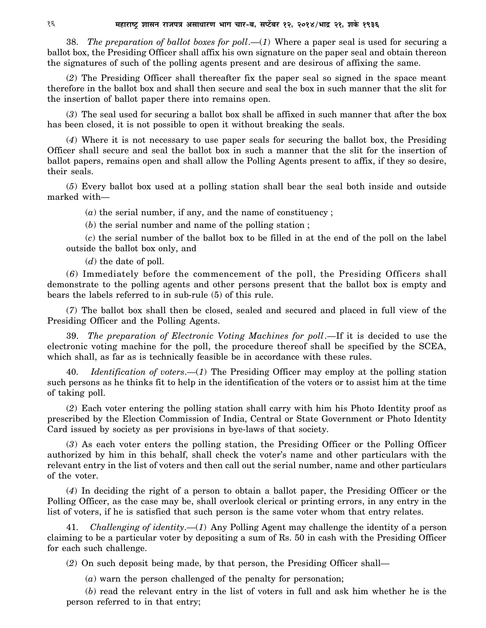38. *The preparation of ballot boxes for poll*.—(*1*) Where a paper seal is used for securing a ballot box, the Presiding Officer shall affix his own signature on the paper seal and obtain thereon the signatures of such of the polling agents present and are desirous of affixing the same.

(*2*) The Presiding Officer shall thereafter fix the paper seal so signed in the space meant therefore in the ballot box and shall then secure and seal the box in such manner that the slit for the insertion of ballot paper there into remains open.

(*3*) The seal used for securing a ballot box shall be affixed in such manner that after the box has been closed, it is not possible to open it without breaking the seals.

(*4*) Where it is not necessary to use paper seals for securing the ballot box, the Presiding Officer shall secure and seal the ballot box in such a manner that the slit for the insertion of ballot papers, remains open and shall allow the Polling Agents present to affix, if they so desire, their seals.

(*5*) Every ballot box used at a polling station shall bear the seal both inside and outside marked with—

(*a*) the serial number, if any, and the name of constituency ;

(*b*) the serial number and name of the polling station ;

(*c*) the serial number of the ballot box to be filled in at the end of the poll on the label outside the ballot box only, and

(*d*) the date of poll.

(*6*) Immediately before the commencement of the poll, the Presiding Officers shall demonstrate to the polling agents and other persons present that the ballot box is empty and bears the labels referred to in sub-rule (5) of this rule.

(*7*) The ballot box shall then be closed, sealed and secured and placed in full view of the Presiding Officer and the Polling Agents.

39. *The preparation of Electronic Voting Machines for poll*.—If it is decided to use the electronic voting machine for the poll, the procedure thereof shall be specified by the SCEA, which shall, as far as is technically feasible be in accordance with these rules.

40. *Identification of voters*.—(*1*) The Presiding Officer may employ at the polling station such persons as he thinks fit to help in the identification of the voters or to assist him at the time of taking poll.

(*2*) Each voter entering the polling station shall carry with him his Photo Identity proof as prescribed by the Election Commission of India, Central or State Government or Photo Identity Card issued by society as per provisions in bye-laws of that society.

(*3*) As each voter enters the polling station, the Presiding Officer or the Polling Officer authorized by him in this behalf, shall check the voter's name and other particulars with the relevant entry in the list of voters and then call out the serial number, name and other particulars of the voter.

(*4*) In deciding the right of a person to obtain a ballot paper, the Presiding Officer or the Polling Officer, as the case may be, shall overlook clerical or printing errors, in any entry in the list of voters, if he is satisfied that such person is the same voter whom that entry relates.

41. *Challenging of identity*.—(*1*) Any Polling Agent may challenge the identity of a person claiming to be a particular voter by depositing a sum of Rs. 50 in cash with the Presiding Officer for each such challenge.

(*2*) On such deposit being made, by that person, the Presiding Officer shall—

(*a*) warn the person challenged of the penalty for personation;

(*b*) read the relevant entry in the list of voters in full and ask him whether he is the person referred to in that entry;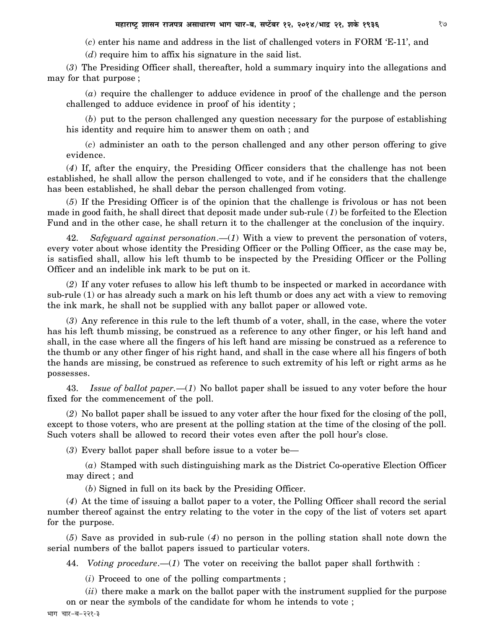(*c*) enter his name and address in the list of challenged voters in FORM 'E-11', and

(*d*) require him to affix his signature in the said list.

(*3*) The Presiding Officer shall, thereafter, hold a summary inquiry into the allegations and may for that purpose ;

(*a*) require the challenger to adduce evidence in proof of the challenge and the person challenged to adduce evidence in proof of his identity ;

(*b*) put to the person challenged any question necessary for the purpose of establishing his identity and require him to answer them on oath ; and

(*c*) administer an oath to the person challenged and any other person offering to give evidence.

(*4*) If, after the enquiry, the Presiding Officer considers that the challenge has not been established, he shall allow the person challenged to vote, and if he considers that the challenge has been established, he shall debar the person challenged from voting.

(*5*) If the Presiding Officer is of the opinion that the challenge is frivolous or has not been made in good faith, he shall direct that deposit made under sub-rule (*1*) be forfeited to the Election Fund and in the other case, he shall return it to the challenger at the conclusion of the inquiry.

42. *Safeguard against personation*.—(*1*) With a view to prevent the personation of voters, every voter about whose identity the Presiding Officer or the Polling Officer, as the case may be, is satisfied shall, allow his left thumb to be inspected by the Presiding Officer or the Polling Officer and an indelible ink mark to be put on it.

(*2*) If any voter refuses to allow his left thumb to be inspected or marked in accordance with sub-rule (1) or has already such a mark on his left thumb or does any act with a view to removing the ink mark, he shall not be supplied with any ballot paper or allowed vote.

(*3*) Any reference in this rule to the left thumb of a voter, shall, in the case, where the voter has his left thumb missing, be construed as a reference to any other finger, or his left hand and shall, in the case where all the fingers of his left hand are missing be construed as a reference to the thumb or any other finger of his right hand, and shall in the case where all his fingers of both the hands are missing, be construed as reference to such extremity of his left or right arms as he possesses.

43. *Issue of ballot paper.*—(*1*) No ballot paper shall be issued to any voter before the hour fixed for the commencement of the poll.

(*2*) No ballot paper shall be issued to any voter after the hour fixed for the closing of the poll, except to those voters, who are present at the polling station at the time of the closing of the poll. Such voters shall be allowed to record their votes even after the poll hour's close.

(*3*) Every ballot paper shall before issue to a voter be—

(*a*) Stamped with such distinguishing mark as the District Co-operative Election Officer may direct ; and

(*b*) Signed in full on its back by the Presiding Officer.

(*4*) At the time of issuing a ballot paper to a voter, the Polling Officer shall record the serial number thereof against the entry relating to the voter in the copy of the list of voters set apart for the purpose.

(*5*) Save as provided in sub-rule (*4*) no person in the polling station shall note down the serial numbers of the ballot papers issued to particular voters.

44. *Voting procedure*.—(*1*) The voter on receiving the ballot paper shall forthwith :

(*i*) Proceed to one of the polling compartments ;

(*ii*) there make a mark on the ballot paper with the instrument supplied for the purpose on or near the symbols of the candidate for whom he intends to vote ;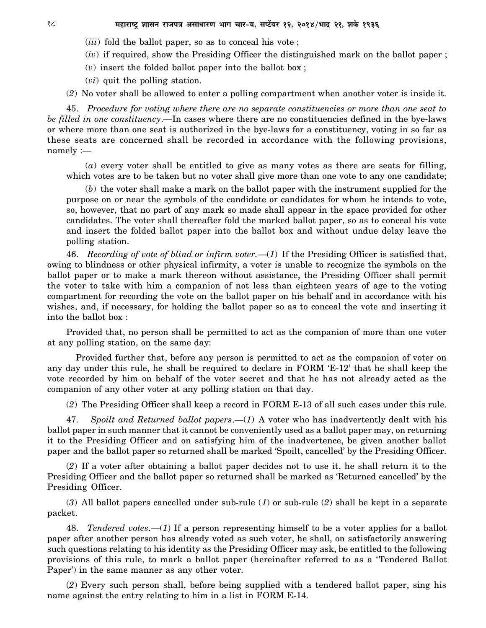- (*iii*) fold the ballot paper, so as to conceal his vote ;
- (*iv*) if required, show the Presiding Officer the distinguished mark on the ballot paper ;
- (*v*) insert the folded ballot paper into the ballot box ;
- (*vi*) quit the polling station.

(*2*) No voter shall be allowed to enter a polling compartment when another voter is inside it.

45. *Procedure for voting where there are no separate constituencies or more than one seat to be filled in one constituency*.—In cases where there are no constituencies defined in the bye-laws or where more than one seat is authorized in the bye-laws for a constituency, voting in so far as these seats are concerned shall be recorded in accordance with the following provisions, namely :—

(*a*) every voter shall be entitled to give as many votes as there are seats for filling, which votes are to be taken but no voter shall give more than one vote to any one candidate;

(*b*) the voter shall make a mark on the ballot paper with the instrument supplied for the purpose on or near the symbols of the candidate or candidates for whom he intends to vote, so, however, that no part of any mark so made shall appear in the space provided for other candidates. The voter shall thereafter fold the marked ballot paper, so as to conceal his vote and insert the folded ballot paper into the ballot box and without undue delay leave the polling station.

46. *Recording of vote of blind or infirm voter.*—(*1*) If the Presiding Officer is satisfied that, owing to blindness or other physical infirmity, a voter is unable to recognize the symbols on the ballot paper or to make a mark thereon without assistance, the Presiding Officer shall permit the voter to take with him a companion of not less than eighteen years of age to the voting compartment for recording the vote on the ballot paper on his behalf and in accordance with his wishes, and, if necessary, for holding the ballot paper so as to conceal the vote and inserting it into the ballot box :

Provided that, no person shall be permitted to act as the companion of more than one voter at any polling station, on the same day:

Provided further that, before any person is permitted to act as the companion of voter on any day under this rule, he shall be required to declare in FORM 'E-12' that he shall keep the vote recorded by him on behalf of the voter secret and that he has not already acted as the companion of any other voter at any polling station on that day.

(*2*) The Presiding Officer shall keep a record in FORM E-13 of all such cases under this rule.

47. *Spoilt and Returned ballot papers*.—(*1*) A voter who has inadvertently dealt with his ballot paper in such manner that it cannot be conveniently used as a ballot paper may, on returning it to the Presiding Officer and on satisfying him of the inadvertence, be given another ballot paper and the ballot paper so returned shall be marked 'Spoilt, cancelled' by the Presiding Officer.

(*2*) If a voter after obtaining a ballot paper decides not to use it, he shall return it to the Presiding Officer and the ballot paper so returned shall be marked as 'Returned cancelled' by the Presiding Officer.

(*3*) All ballot papers cancelled under sub-rule (*1*) or sub-rule (*2*) shall be kept in a separate packet.

48. *Tendered votes*.—(*1*) If a person representing himself to be a voter applies for a ballot paper after another person has already voted as such voter, he shall, on satisfactorily answering such questions relating to his identity as the Presiding Officer may ask, be entitled to the following provisions of this rule, to mark a ballot paper (hereinafter referred to as a 'Tendered Ballot Paper') in the same manner as any other voter.

(*2*) Every such person shall, before being supplied with a tendered ballot paper, sing his name against the entry relating to him in a list in FORM E-14.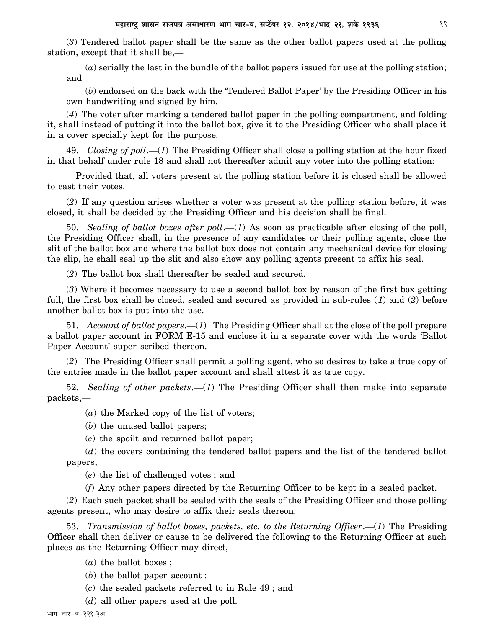(*3*) Tendered ballot paper shall be the same as the other ballot papers used at the polling station, except that it shall be,—

(*a*) serially the last in the bundle of the ballot papers issued for use at the polling station; and

(*b*) endorsed on the back with the 'Tendered Ballot Paper' by the Presiding Officer in his own handwriting and signed by him.

(*4*) The voter after marking a tendered ballot paper in the polling compartment, and folding it, shall instead of putting it into the ballot box, give it to the Presiding Officer who shall place it in a cover specially kept for the purpose.

49. *Closing of poll*.—(*1*) The Presiding Officer shall close a polling station at the hour fixed in that behalf under rule 18 and shall not thereafter admit any voter into the polling station:

Provided that, all voters present at the polling station before it is closed shall be allowed to cast their votes.

(*2*) If any question arises whether a voter was present at the polling station before, it was closed, it shall be decided by the Presiding Officer and his decision shall be final.

50. *Sealing of ballot boxes after poll*.—(*1*) As soon as practicable after closing of the poll, the Presiding Officer shall, in the presence of any candidates or their polling agents, close the slit of the ballot box and where the ballot box does not contain any mechanical device for closing the slip, he shall seal up the slit and also show any polling agents present to affix his seal.

(*2*) The ballot box shall thereafter be sealed and secured.

(*3*) Where it becomes necessary to use a second ballot box by reason of the first box getting full, the first box shall be closed, sealed and secured as provided in sub-rules (*1*) and (*2*) before another ballot box is put into the use.

51. *Account of ballot papers*.—(*1*) The Presiding Officer shall at the close of the poll prepare a ballot paper account in FORM E-15 and enclose it in a separate cover with the words 'Ballot Paper Account' super scribed thereon.

(*2*) The Presiding Officer shall permit a polling agent, who so desires to take a true copy of the entries made in the ballot paper account and shall attest it as true copy.

52. *Sealing of other packets*.—(*1*) The Presiding Officer shall then make into separate packets,—

(*a*) the Marked copy of the list of voters;

(*b*) the unused ballot papers;

(*c*) the spoilt and returned ballot paper;

(*d*) the covers containing the tendered ballot papers and the list of the tendered ballot papers;

(*e*) the list of challenged votes ; and

(*f*) Any other papers directed by the Returning Officer to be kept in a sealed packet.

(*2*) Each such packet shall be sealed with the seals of the Presiding Officer and those polling agents present, who may desire to affix their seals thereon.

53. *Transmission of ballot boxes, packets, etc. to the Returning Officer*.—(*1*) The Presiding Officer shall then deliver or cause to be delivered the following to the Returning Officer at such places as the Returning Officer may direct,—

- (*a*) the ballot boxes ;
- (*b*) the ballot paper account ;
- (*c*) the sealed packets referred to in Rule 49 ; and
- (*d*) all other papers used at the poll.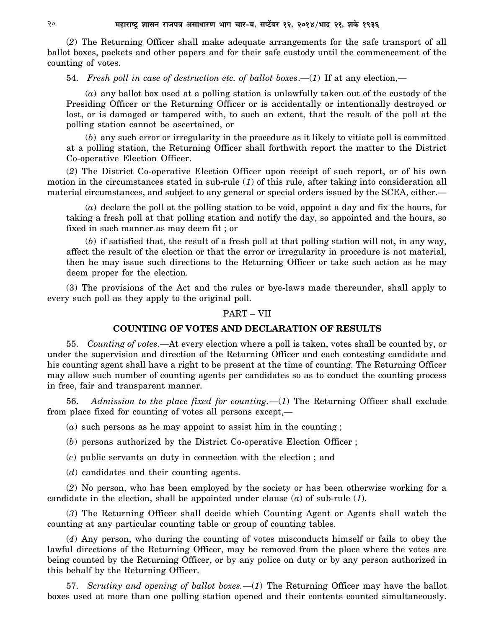(*2*) The Returning Officer shall make adequate arrangements for the safe transport of all ballot boxes, packets and other papers and for their safe custody until the commencement of the counting of votes.

54. *Fresh poll in case of destruction etc. of ballot boxes*.—(*1*) If at any election,—

(*a*) any ballot box used at a polling station is unlawfully taken out of the custody of the Presiding Officer or the Returning Officer or is accidentally or intentionally destroyed or lost, or is damaged or tampered with, to such an extent, that the result of the poll at the polling station cannot be ascertained, or

(*b*) any such error or irregularity in the procedure as it likely to vitiate poll is committed at a polling station, the Returning Officer shall forthwith report the matter to the District Co-operative Election Officer.

(*2*) The District Co-operative Election Officer upon receipt of such report, or of his own motion in the circumstances stated in sub-rule (*1*) of this rule, after taking into consideration all material circumstances, and subject to any general or special orders issued by the SCEA, either.—

(*a*) declare the poll at the polling station to be void, appoint a day and fix the hours, for taking a fresh poll at that polling station and notify the day, so appointed and the hours, so fixed in such manner as may deem fit ; or

(*b*) if satisfied that, the result of a fresh poll at that polling station will not, in any way, affect the result of the election or that the error or irregularity in procedure is not material, then he may issue such directions to the Returning Officer or take such action as he may deem proper for the election.

(3) The provisions of the Act and the rules or bye-laws made thereunder, shall apply to every such poll as they apply to the original poll.

### PART – VII

### **COUNTING OF VOTES AND DECLARATION OF RESULTS**

55. *Counting of votes*.—At every election where a poll is taken, votes shall be counted by, or under the supervision and direction of the Returning Officer and each contesting candidate and his counting agent shall have a right to be present at the time of counting. The Returning Officer may allow such number of counting agents per candidates so as to conduct the counting process in free, fair and transparent manner.

56. *Admission to the place fixed for counting.*—(*1*) The Returning Officer shall exclude from place fixed for counting of votes all persons except,—

(*a*) such persons as he may appoint to assist him in the counting ;

(*b*) persons authorized by the District Co-operative Election Officer ;

(*c*) public servants on duty in connection with the election ; and

(*d*) candidates and their counting agents.

(*2*) No person, who has been employed by the society or has been otherwise working for a candidate in the election, shall be appointed under clause (*a*) of sub-rule (*1*).

(*3*) The Returning Officer shall decide which Counting Agent or Agents shall watch the counting at any particular counting table or group of counting tables.

(*4*) Any person, who during the counting of votes misconducts himself or fails to obey the lawful directions of the Returning Officer, may be removed from the place where the votes are being counted by the Returning Officer, or by any police on duty or by any person authorized in this behalf by the Returning Officer.

57. *Scrutiny and opening of ballot boxes.*—(*1*) The Returning Officer may have the ballot boxes used at more than one polling station opened and their contents counted simultaneously.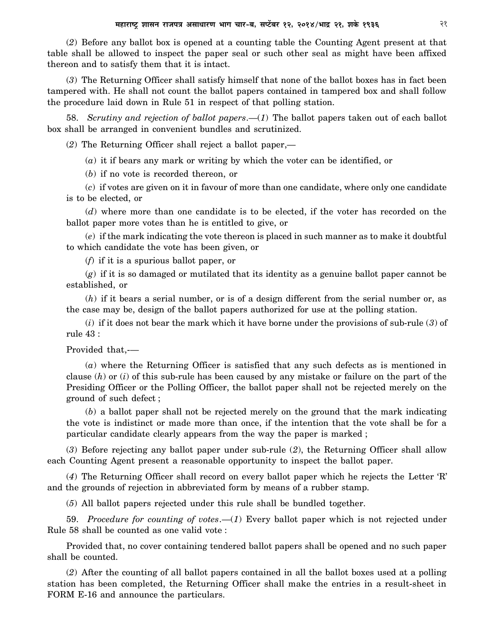(*2*) Before any ballot box is opened at a counting table the Counting Agent present at that table shall be allowed to inspect the paper seal or such other seal as might have been affixed thereon and to satisfy them that it is intact.

(*3*) The Returning Officer shall satisfy himself that none of the ballot boxes has in fact been tampered with. He shall not count the ballot papers contained in tampered box and shall follow the procedure laid down in Rule 51 in respect of that polling station.

58. *Scrutiny and rejection of ballot papers*.—(*1*) The ballot papers taken out of each ballot box shall be arranged in convenient bundles and scrutinized.

(*2*) The Returning Officer shall reject a ballot paper,—

(*a*) it if bears any mark or writing by which the voter can be identified, or

(*b*) if no vote is recorded thereon, or

(*c*) if votes are given on it in favour of more than one candidate, where only one candidate is to be elected, or

(*d*) where more than one candidate is to be elected, if the voter has recorded on the ballot paper more votes than he is entitled to give, or

(*e*) if the mark indicating the vote thereon is placed in such manner as to make it doubtful to which candidate the vote has been given, or

(*f*) if it is a spurious ballot paper, or

(*g*) if it is so damaged or mutilated that its identity as a genuine ballot paper cannot be established, or

(*h*) if it bears a serial number, or is of a design different from the serial number or, as the case may be, design of the ballot papers authorized for use at the polling station.

(*i*) if it does not bear the mark which it have borne under the provisions of sub-rule (*3*) of rule 43 :

Provided that,-—

(*a*) where the Returning Officer is satisfied that any such defects as is mentioned in clause (*h*) or (*i*) of this sub-rule has been caused by any mistake or failure on the part of the Presiding Officer or the Polling Officer, the ballot paper shall not be rejected merely on the ground of such defect ;

(*b*) a ballot paper shall not be rejected merely on the ground that the mark indicating the vote is indistinct or made more than once, if the intention that the vote shall be for a particular candidate clearly appears from the way the paper is marked ;

(*3*) Before rejecting any ballot paper under sub-rule (*2*), the Returning Officer shall allow each Counting Agent present a reasonable opportunity to inspect the ballot paper.

(*4*) The Returning Officer shall record on every ballot paper which he rejects the Letter 'R' and the grounds of rejection in abbreviated form by means of a rubber stamp.

(*5*) All ballot papers rejected under this rule shall be bundled together.

59. *Procedure for counting of votes*.—(*1*) Every ballot paper which is not rejected under Rule 58 shall be counted as one valid vote :

Provided that, no cover containing tendered ballot papers shall be opened and no such paper shall be counted.

(*2*) After the counting of all ballot papers contained in all the ballot boxes used at a polling station has been completed, the Returning Officer shall make the entries in a result-sheet in FORM E-16 and announce the particulars.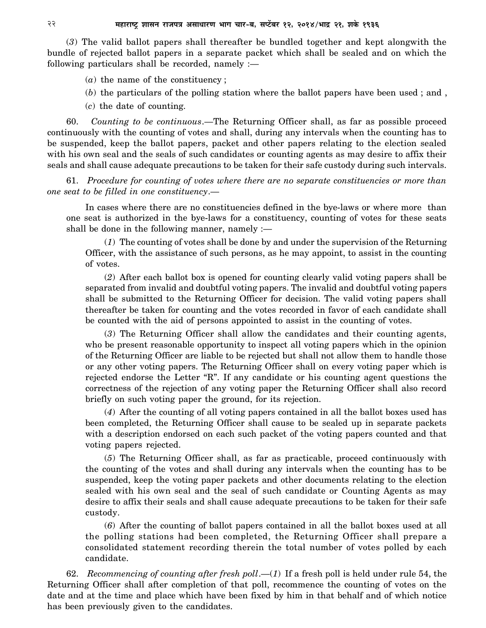(*3*) The valid ballot papers shall thereafter be bundled together and kept alongwith the bundle of rejected ballot papers in a separate packet which shall be sealed and on which the following particulars shall be recorded, namely  $:=$ 

(*a*) the name of the constituency ;

(*b*) the particulars of the polling station where the ballot papers have been used ; and ,

(*c*) the date of counting.

60. *Counting to be continuous*.—The Returning Officer shall, as far as possible proceed continuously with the counting of votes and shall, during any intervals when the counting has to be suspended, keep the ballot papers, packet and other papers relating to the election sealed with his own seal and the seals of such candidates or counting agents as may desire to affix their seals and shall cause adequate precautions to be taken for their safe custody during such intervals.

61. *Procedure for counting of votes where there are no separate constituencies or more than one seat to be filled in one constituency*.—

In cases where there are no constituencies defined in the bye-laws or where more than one seat is authorized in the bye-laws for a constituency, counting of votes for these seats shall be done in the following manner, namely :—

(*1*) The counting of votes shall be done by and under the supervision of the Returning Officer, with the assistance of such persons, as he may appoint, to assist in the counting of votes.

(*2*) After each ballot box is opened for counting clearly valid voting papers shall be separated from invalid and doubtful voting papers. The invalid and doubtful voting papers shall be submitted to the Returning Officer for decision. The valid voting papers shall thereafter be taken for counting and the votes recorded in favor of each candidate shall be counted with the aid of persons appointed to assist in the counting of votes.

(*3*) The Returning Officer shall allow the candidates and their counting agents, who be present reasonable opportunity to inspect all voting papers which in the opinion of the Returning Officer are liable to be rejected but shall not allow them to handle those or any other voting papers. The Returning Officer shall on every voting paper which is rejected endorse the Letter "R". If any candidate or his counting agent questions the correctness of the rejection of any voting paper the Returning Officer shall also record briefly on such voting paper the ground, for its rejection.

(*4*) After the counting of all voting papers contained in all the ballot boxes used has been completed, the Returning Officer shall cause to be sealed up in separate packets with a description endorsed on each such packet of the voting papers counted and that voting papers rejected.

(*5*) The Returning Officer shall, as far as practicable, proceed continuously with the counting of the votes and shall during any intervals when the counting has to be suspended, keep the voting paper packets and other documents relating to the election sealed with his own seal and the seal of such candidate or Counting Agents as may desire to affix their seals and shall cause adequate precautions to be taken for their safe custody.

(*6*) After the counting of ballot papers contained in all the ballot boxes used at all the polling stations had been completed, the Returning Officer shall prepare a consolidated statement recording therein the total number of votes polled by each candidate.

62. *Recommencing of counting after fresh poll*.—(*1*) If a fresh poll is held under rule 54, the Returning Officer shall after completion of that poll, recommence the counting of votes on the date and at the time and place which have been fixed by him in that behalf and of which notice has been previously given to the candidates.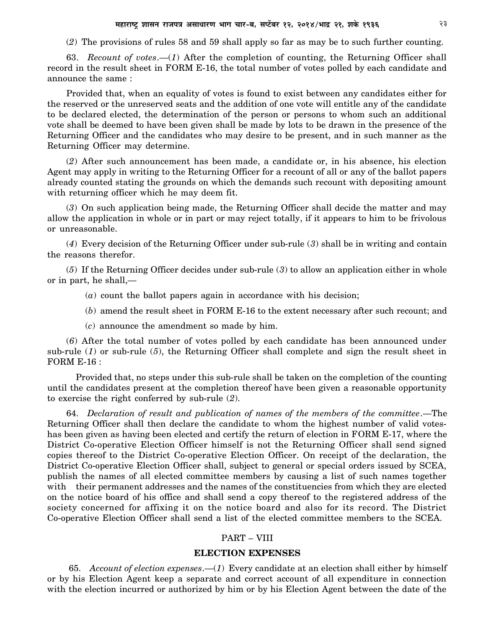(*2*) The provisions of rules 58 and 59 shall apply so far as may be to such further counting.

63. *Recount of votes*.—(*1*) After the completion of counting, the Returning Officer shall record in the result sheet in FORM E-16, the total number of votes polled by each candidate and announce the same :

Provided that, when an equality of votes is found to exist between any candidates either for the reserved or the unreserved seats and the addition of one vote will entitle any of the candidate to be declared elected, the determination of the person or persons to whom such an additional vote shall be deemed to have been given shall be made by lots to be drawn in the presence of the Returning Officer and the candidates who may desire to be present, and in such manner as the Returning Officer may determine.

(*2*) After such announcement has been made, a candidate or, in his absence, his election Agent may apply in writing to the Returning Officer for a recount of all or any of the ballot papers already counted stating the grounds on which the demands such recount with depositing amount with returning officer which he may deem fit.

(*3*) On such application being made, the Returning Officer shall decide the matter and may allow the application in whole or in part or may reject totally, if it appears to him to be frivolous or unreasonable.

(*4*) Every decision of the Returning Officer under sub-rule (*3*) shall be in writing and contain the reasons therefor.

(*5*) If the Returning Officer decides under sub-rule (*3*) to allow an application either in whole or in part, he shall,—

(*a*) count the ballot papers again in accordance with his decision;

(*b*) amend the result sheet in FORM E-16 to the extent necessary after such recount; and

(*c*) announce the amendment so made by him.

(*6*) After the total number of votes polled by each candidate has been announced under sub-rule (*1*) or sub-rule (*5*), the Returning Officer shall complete and sign the result sheet in FORM E-16 :

Provided that, no steps under this sub-rule shall be taken on the completion of the counting until the candidates present at the completion thereof have been given a reasonable opportunity to exercise the right conferred by sub-rule (*2*).

64. *Declaration of result and publication of names of the members of the committee*.—The Returning Officer shall then declare the candidate to whom the highest number of valid voteshas been given as having been elected and certify the return of election in FORM E-17, where the District Co-operative Election Officer himself is not the Returning Officer shall send signed copies thereof to the District Co-operative Election Officer. On receipt of the declaration, the District Co-operative Election Officer shall, subject to general or special orders issued by SCEA, publish the names of all elected committee members by causing a list of such names together with their permanent addresses and the names of the constituencies from which they are elected on the notice board of his office and shall send a copy thereof to the registered address of the society concerned for affixing it on the notice board and also for its record. The District Co-operative Election Officer shall send a list of the elected committee members to the SCEA.

### PART – VIII

### **ELECTION EXPENSES**

 65. *Account of election expenses*.—(*1*) Every candidate at an election shall either by himself or by his Election Agent keep a separate and correct account of all expenditure in connection with the election incurred or authorized by him or by his Election Agent between the date of the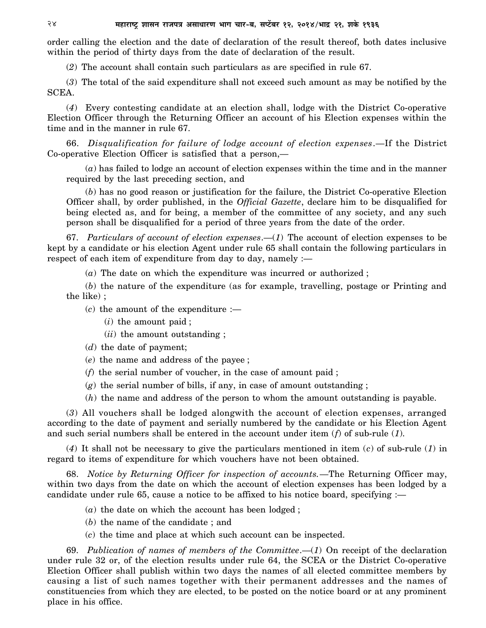order calling the election and the date of declaration of the result thereof, both dates inclusive within the period of thirty days from the date of declaration of the result.

(*2*) The account shall contain such particulars as are specified in rule 67.

(*3*) The total of the said expenditure shall not exceed such amount as may be notified by the SCEA.

(*4*) Every contesting candidate at an election shall, lodge with the District Co-operative Election Officer through the Returning Officer an account of his Election expenses within the time and in the manner in rule 67.

66. *Disqualification for failure of lodge account of election expenses*.—If the District Co-operative Election Officer is satisfied that a person,—

(*a*) has failed to lodge an account of election expenses within the time and in the manner required by the last preceding section, and

(*b*) has no good reason or justification for the failure, the District Co-operative Election Officer shall, by order published, in the *Official Gazette*, declare him to be disqualified for being elected as, and for being, a member of the committee of any society, and any such person shall be disqualified for a period of three years from the date of the order.

67. *Particulars of account of election expenses*.—(*1*) The account of election expenses to be kept by a candidate or his election Agent under rule 65 shall contain the following particulars in respect of each item of expenditure from day to day, namely :—

(*a*) The date on which the expenditure was incurred or authorized ;

(*b*) the nature of the expenditure (as for example, travelling, postage or Printing and the like) ;

- $(c)$  the amount of the expenditure  $:$ 
	- (*i*) the amount paid ;
	- (*ii*) the amount outstanding ;
- (*d*) the date of payment;
- (*e*) the name and address of the payee ;
- (*f*) the serial number of voucher, in the case of amount paid ;
- (*g*) the serial number of bills, if any, in case of amount outstanding ;
- (*h*) the name and address of the person to whom the amount outstanding is payable.

(*3*) All vouchers shall be lodged alongwith the account of election expenses, arranged according to the date of payment and serially numbered by the candidate or his Election Agent and such serial numbers shall be entered in the account under item (*f*) of sub-rule (*1*).

(*4*) It shall not be necessary to give the particulars mentioned in item (*c*) of sub-rule (*1*) in regard to items of expenditure for which vouchers have not been obtained.

68. *Notice by Returning Officer for inspection of accounts.*—The Returning Officer may, within two days from the date on which the account of election expenses has been lodged by a candidate under rule 65, cause a notice to be affixed to his notice board, specifying  $:$ 

- (*a*) the date on which the account has been lodged ;
- (*b*) the name of the candidate ; and
- (*c*) the time and place at which such account can be inspected.

69. *Publication of names of members of the Committee*.—(*1*) On receipt of the declaration under rule 32 or, of the election results under rule 64, the SCEA or the District Co-operative Election Officer shall publish within two days the names of all elected committee members by causing a list of such names together with their permanent addresses and the names of constituencies from which they are elected, to be posted on the notice board or at any prominent place in his office.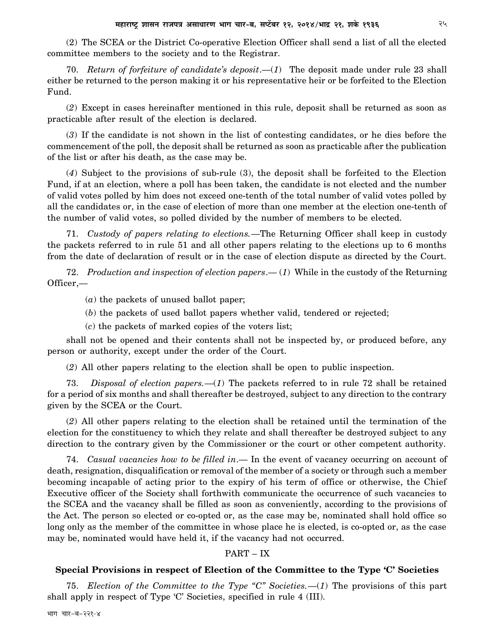(2) The SCEA or the District Co-operative Election Officer shall send a list of all the elected committee members to the society and to the Registrar.

70. *Return of forfeiture of candidate's deposit*.—(*1*) The deposit made under rule 23 shall either be returned to the person making it or his representative heir or be forfeited to the Election Fund.

(*2*) Except in cases hereinafter mentioned in this rule, deposit shall be returned as soon as practicable after result of the election is declared.

(*3*) If the candidate is not shown in the list of contesting candidates, or he dies before the commencement of the poll, the deposit shall be returned as soon as practicable after the publication of the list or after his death, as the case may be.

(*4*) Subject to the provisions of sub-rule (3), the deposit shall be forfeited to the Election Fund, if at an election, where a poll has been taken, the candidate is not elected and the number of valid votes polled by him does not exceed one-tenth of the total number of valid votes polled by all the candidates or, in the case of election of more than one member at the election one-tenth of the number of valid votes, so polled divided by the number of members to be elected.

71. *Custody of papers relating to elections.*—The Returning Officer shall keep in custody the packets referred to in rule 51 and all other papers relating to the elections up to 6 months from the date of declaration of result or in the case of election dispute as directed by the Court.

72. *Production and inspection of election papers*.— (*1*) While in the custody of the Returning Officer,—

- (*a*) the packets of unused ballot paper;
- (*b*) the packets of used ballot papers whether valid, tendered or rejected;
- (*c*) the packets of marked copies of the voters list;

shall not be opened and their contents shall not be inspected by, or produced before, any person or authority, except under the order of the Court.

(*2*) All other papers relating to the election shall be open to public inspection.

73. *Disposal of election papers.*—(*1*) The packets referred to in rule 72 shall be retained for a period of six months and shall thereafter be destroyed, subject to any direction to the contrary given by the SCEA or the Court.

(*2*) All other papers relating to the election shall be retained until the termination of the election for the constituency to which they relate and shall thereafter be destroyed subject to any direction to the contrary given by the Commissioner or the court or other competent authority.

74. *Casual vacancies how to be filled in*.— In the event of vacancy occurring on account of death, resignation, disqualification or removal of the member of a society or through such a member becoming incapable of acting prior to the expiry of his term of office or otherwise, the Chief Executive officer of the Society shall forthwith communicate the occurrence of such vacancies to the SCEA and the vacancy shall be filled as soon as conveniently, according to the provisions of the Act. The person so elected or co-opted or, as the case may be, nominated shall hold office so long only as the member of the committee in whose place he is elected, is co-opted or, as the case may be, nominated would have held it, if the vacancy had not occurred.

### PART – IX

### **Special Provisions in respect of Election of the Committee to the Type 'C' Societies**

75. *Election of the Committee to the Type "C" Societies.*—(*1*) The provisions of this part shall apply in respect of Type 'C' Societies, specified in rule 4 (III).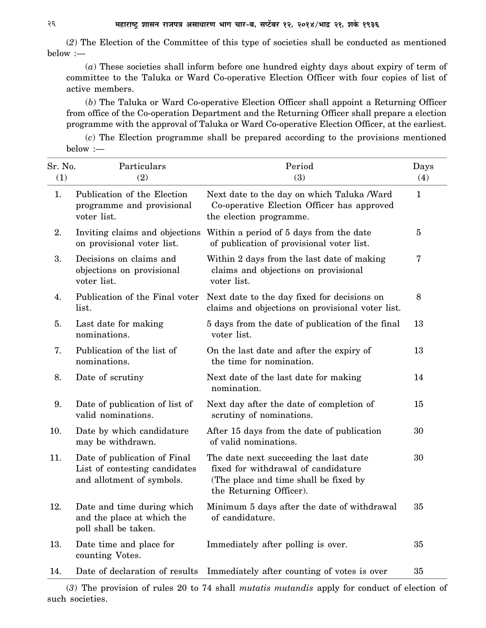(*2*) The Election of the Committee of this type of societies shall be conducted as mentioned below :—

(*a*) These societies shall inform before one hundred eighty days about expiry of term of committee to the Taluka or Ward Co-operative Election Officer with four copies of list of active members.

(*b*) The Taluka or Ward Co-operative Election Officer shall appoint a Returning Officer from office of the Co-operation Department and the Returning Officer shall prepare a election programme with the approval of Taluka or Ward Co-operative Election Officer, at the earliest.

(*c*) The Election programme shall be prepared according to the provisions mentioned below :—

| Sr. No.<br>(1) | Particulars<br>(2)                                                                         | Period<br>(3)                                                                                                                                     | Days<br>(4)  |
|----------------|--------------------------------------------------------------------------------------------|---------------------------------------------------------------------------------------------------------------------------------------------------|--------------|
| 1.             | Publication of the Election<br>programme and provisional<br>voter list.                    | Next date to the day on which Taluka /Ward<br>Co-operative Election Officer has approved<br>the election programme.                               | $\mathbf{1}$ |
| 2.             | Inviting claims and objections<br>on provisional voter list.                               | Within a period of 5 days from the date<br>of publication of provisional voter list.                                                              | 5            |
| 3.             | Decisions on claims and<br>objections on provisional<br>voter list.                        | Within 2 days from the last date of making<br>claims and objections on provisional<br>voter list.                                                 | 7            |
| 4.             | Publication of the Final voter<br>list.                                                    | Next date to the day fixed for decisions on<br>claims and objections on provisional voter list.                                                   | 8            |
| 5.             | Last date for making<br>nominations.                                                       | 5 days from the date of publication of the final<br>voter list.                                                                                   | 13           |
| 7.             | Publication of the list of<br>nominations.                                                 | On the last date and after the expiry of<br>the time for nomination.                                                                              | 13           |
| 8.             | Date of scrutiny                                                                           | Next date of the last date for making<br>nomination.                                                                                              | 14           |
| 9.             | Date of publication of list of<br>valid nominations.                                       | Next day after the date of completion of<br>scrutiny of nominations.                                                                              | 15           |
| 10.            | Date by which candidature<br>may be withdrawn.                                             | After 15 days from the date of publication<br>of valid nominations.                                                                               | 30           |
| 11.            | Date of publication of Final<br>List of contesting candidates<br>and allotment of symbols. | The date next succeeding the last date<br>fixed for withdrawal of candidature<br>(The place and time shall be fixed by<br>the Returning Officer). | 30           |
| 12.            | Date and time during which<br>and the place at which the<br>poll shall be taken.           | Minimum 5 days after the date of withdrawal<br>of candidature.                                                                                    | 35           |
| 13.            | Date time and place for<br>counting Votes.                                                 | Immediately after polling is over.                                                                                                                | 35           |
| 14.            | Date of declaration of results                                                             | Immediately after counting of votes is over                                                                                                       | 35           |

(*3*) The provision of rules 20 to 74 shall *mutatis mutandis* apply for conduct of election of such societies.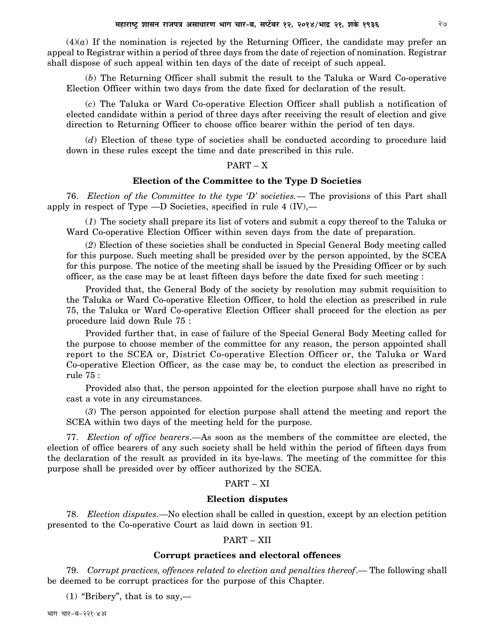$(4)(a)$  If the nomination is rejected by the Returning Officer, the candidate may prefer an appeal to Registrar within a period of three days from the date of rejection of nomination. Registrar shall dispose of such appeal within ten days of the date of receipt of such appeal.

(*b*) The Returning Officer shall submit the result to the Taluka or Ward Co-operative Election Officer within two days from the date fixed for declaration of the result.

(*c*) The Taluka or Ward Co-operative Election Officer shall publish a notification of elected candidate within a period of three days after receiving the result of election and give direction to Returning Officer to choose office bearer within the period of ten days.

(*d*) Election of these type of societies shall be conducted according to procedure laid down in these rules except the time and date prescribed in this rule.

### PART – X

### **Election of the Committee to the Type D Societies**

76. *Election of the Committee to the type 'D' societies.*— The provisions of this Part shall apply in respect of Type —D Societies, specified in rule 4 (IV),—

(*1*) The society shall prepare its list of voters and submit a copy thereof to the Taluka or Ward Co-operative Election Officer within seven days from the date of preparation.

(*2*) Election of these societies shall be conducted in Special General Body meeting called for this purpose. Such meeting shall be presided over by the person appointed, by the SCEA for this purpose. The notice of the meeting shall be issued by the Presiding Officer or by such officer, as the case may be at least fifteen days before the date fixed for such meeting :

Provided that, the General Body of the society by resolution may submit requisition to the Taluka or Ward Co-operative Election Officer, to hold the election as prescribed in rule 75, the Taluka or Ward Co-operative Election Officer shall proceed for the election as per procedure laid down Rule 75 :

Provided further that, in case of failure of the Special General Body Meeting called for the purpose to choose member of the committee for any reason, the person appointed shall report to the SCEA or, District Co-operative Election Officer or, the Taluka or Ward Co-operative Election Officer, as the case may be, to conduct the election as prescribed in rule 75 :

Provided also that, the person appointed for the election purpose shall have no right to cast a vote in any circumstances.

(*3*) The person appointed for election purpose shall attend the meeting and report the SCEA within two days of the meeting held for the purpose.

77. *Election of office bearers*.—As soon as the members of the committee are elected, the election of office bearers of any such society shall be held within the period of fifteen days from the declaration of the result as provided in its bye-laws. The meeting of the committee for this purpose shall be presided over by officer authorized by the SCEA.

### PART – XI

#### **Election disputes**

78. *Election disputes*.—No election shall be called in question, except by an election petition presented to the Co-operative Court as laid down in section 91.

#### PART – XII

### **Corrupt practices and electoral offences**

79. *Corrupt practices, offences related to election and penalties thereof*.— The following shall be deemed to be corrupt practices for the purpose of this Chapter.

 $(1)$  "Bribery", that is to say,—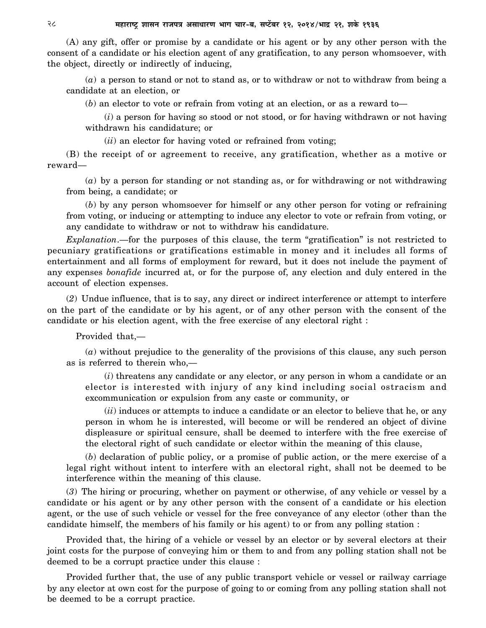(A) any gift, offer or promise by a candidate or his agent or by any other person with the consent of a candidate or his election agent of any gratification, to any person whomsoever, with the object, directly or indirectly of inducing,

(*a*) a person to stand or not to stand as, or to withdraw or not to withdraw from being a candidate at an election, or

(*b*) an elector to vote or refrain from voting at an election, or as a reward to—

(*i*) a person for having so stood or not stood, or for having withdrawn or not having withdrawn his candidature; or

(*ii*) an elector for having voted or refrained from voting;

(B) the receipt of or agreement to receive, any gratification, whether as a motive or reward—

(*a*) by a person for standing or not standing as, or for withdrawing or not withdrawing from being, a candidate; or

(*b*) by any person whomsoever for himself or any other person for voting or refraining from voting, or inducing or attempting to induce any elector to vote or refrain from voting, or any candidate to withdraw or not to withdraw his candidature.

*Explanation*.—for the purposes of this clause, the term "gratification" is not restricted to pecuniary gratifications or gratifications estimable in money and it includes all forms of entertainment and all forms of employment for reward, but it does not include the payment of any expenses *bonafide* incurred at, or for the purpose of, any election and duly entered in the account of election expenses.

(*2*) Undue influence, that is to say, any direct or indirect interference or attempt to interfere on the part of the candidate or by his agent, or of any other person with the consent of the candidate or his election agent, with the free exercise of any electoral right :

Provided that,—

(*a*) without prejudice to the generality of the provisions of this clause, any such person as is referred to therein who,—

(*i*) threatens any candidate or any elector, or any person in whom a candidate or an elector is interested with injury of any kind including social ostracism and excommunication or expulsion from any caste or community, or

(*ii*) induces or attempts to induce a candidate or an elector to believe that he, or any person in whom he is interested, will become or will be rendered an object of divine displeasure or spiritual censure, shall be deemed to interfere with the free exercise of the electoral right of such candidate or elector within the meaning of this clause,

(*b*) declaration of public policy, or a promise of public action, or the mere exercise of a legal right without intent to interfere with an electoral right, shall not be deemed to be interference within the meaning of this clause.

(*3*) The hiring or procuring, whether on payment or otherwise, of any vehicle or vessel by a candidate or his agent or by any other person with the consent of a candidate or his election agent, or the use of such vehicle or vessel for the free conveyance of any elector (other than the candidate himself, the members of his family or his agent) to or from any polling station :

Provided that, the hiring of a vehicle or vessel by an elector or by several electors at their joint costs for the purpose of conveying him or them to and from any polling station shall not be deemed to be a corrupt practice under this clause :

Provided further that, the use of any public transport vehicle or vessel or railway carriage by any elector at own cost for the purpose of going to or coming from any polling station shall not be deemed to be a corrupt practice.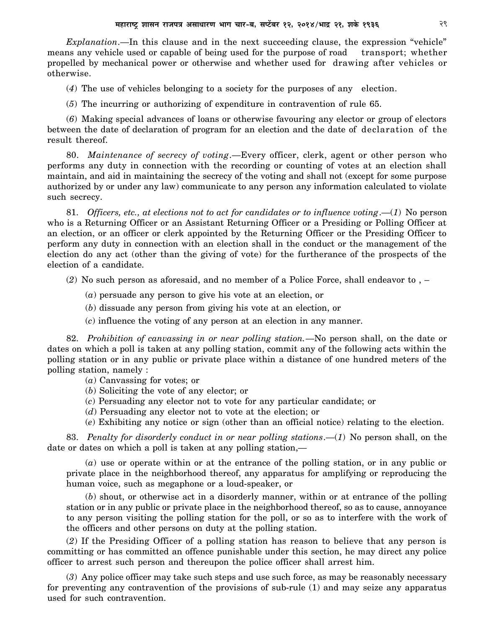*Explanation*.—In this clause and in the next succeeding clause, the expression "vehicle" means any vehicle used or capable of being used for the purpose of road transport; whether propelled by mechanical power or otherwise and whether used for drawing after vehicles or otherwise.

(*4*) The use of vehicles belonging to a society for the purposes of any election.

(*5*) The incurring or authorizing of expenditure in contravention of rule 65.

(*6*) Making special advances of loans or otherwise favouring any elector or group of electors between the date of declaration of program for an election and the date of declaration of the result thereof.

80. *Maintenance of secrecy of voting*.—Every officer, clerk, agent or other person who performs any duty in connection with the recording or counting of votes at an election shall maintain, and aid in maintaining the secrecy of the voting and shall not (except for some purpose authorized by or under any law) communicate to any person any information calculated to violate such secrecy.

81. *Officers, etc., at elections not to act for candidates or to influence voting*.—(*1*) No person who is a Returning Officer or an Assistant Returning Officer or a Presiding or Polling Officer at an election, or an officer or clerk appointed by the Returning Officer or the Presiding Officer to perform any duty in connection with an election shall in the conduct or the management of the election do any act (other than the giving of vote) for the furtherance of the prospects of the election of a candidate.

(*2*) No such person as aforesaid, and no member of a Police Force, shall endeavor to , –

(*a*) persuade any person to give his vote at an election, or

(*b*) dissuade any person from giving his vote at an election, or

(*c*) influence the voting of any person at an election in any manner.

82. *Prohibition of canvassing in or near polling station.*—No person shall, on the date or dates on which a poll is taken at any polling station, commit any of the following acts within the polling station or in any public or private place within a distance of one hundred meters of the polling station, namely :

(*a*) Canvassing for votes; or

(*b*) Soliciting the vote of any elector; or

(*c*) Persuading any elector not to vote for any particular candidate; or

(*d*) Persuading any elector not to vote at the election; or

(*e*) Exhibiting any notice or sign (other than an official notice) relating to the election.

83. *Penalty for disorderly conduct in or near polling stations*.—(*1*) No person shall, on the date or dates on which a poll is taken at any polling station,—

(*a*) use or operate within or at the entrance of the polling station, or in any public or private place in the neighborhood thereof, any apparatus for amplifying or reproducing the human voice, such as megaphone or a loud-speaker, or

(*b*) shout, or otherwise act in a disorderly manner, within or at entrance of the polling station or in any public or private place in the neighborhood thereof, so as to cause, annoyance to any person visiting the polling station for the poll, or so as to interfere with the work of the officers and other persons on duty at the polling station.

(*2*) If the Presiding Officer of a polling station has reason to believe that any person is committing or has committed an offence punishable under this section, he may direct any police officer to arrest such person and thereupon the police officer shall arrest him.

(*3*) Any police officer may take such steps and use such force, as may be reasonably necessary for preventing any contravention of the provisions of sub-rule (1) and may seize any apparatus used for such contravention.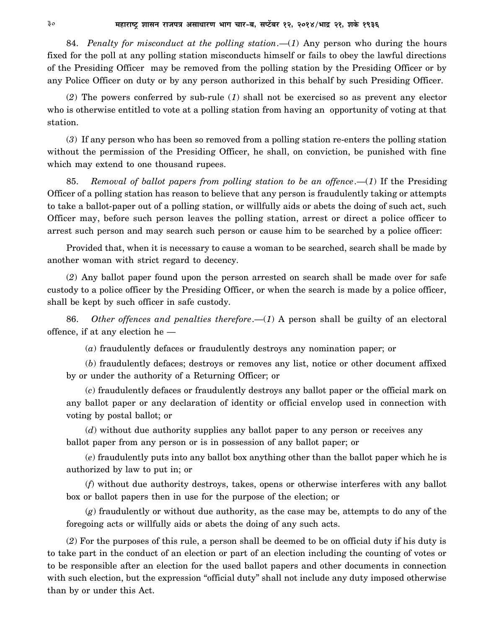84. *Penalty for misconduct at the polling station*.—(*1*) Any person who during the hours fixed for the poll at any polling station misconducts himself or fails to obey the lawful directions of the Presiding Officer may be removed from the polling station by the Presiding Officer or by any Police Officer on duty or by any person authorized in this behalf by such Presiding Officer.

(*2*) The powers conferred by sub-rule (*1*) shall not be exercised so as prevent any elector who is otherwise entitled to vote at a polling station from having an opportunity of voting at that station.

(*3*) If any person who has been so removed from a polling station re-enters the polling station without the permission of the Presiding Officer, he shall, on conviction, be punished with fine which may extend to one thousand rupees.

85. *Removal of ballot papers from polling station to be an offence*.—(*1*) If the Presiding Officer of a polling station has reason to believe that any person is fraudulently taking or attempts to take a ballot-paper out of a polling station, or willfully aids or abets the doing of such act, such Officer may, before such person leaves the polling station, arrest or direct a police officer to arrest such person and may search such person or cause him to be searched by a police officer:

Provided that, when it is necessary to cause a woman to be searched, search shall be made by another woman with strict regard to decency.

(*2*) Any ballot paper found upon the person arrested on search shall be made over for safe custody to a police officer by the Presiding Officer, or when the search is made by a police officer, shall be kept by such officer in safe custody.

86. *Other offences and penalties therefore*.—(*1*) A person shall be guilty of an electoral offence, if at any election he —

(*a*) fraudulently defaces or fraudulently destroys any nomination paper; or

(*b*) fraudulently defaces; destroys or removes any list, notice or other document affixed by or under the authority of a Returning Officer; or

(*c*) fraudulently defaces or fraudulently destroys any ballot paper or the official mark on any ballot paper or any declaration of identity or official envelop used in connection with voting by postal ballot; or

(*d*) without due authority supplies any ballot paper to any person or receives any ballot paper from any person or is in possession of any ballot paper; or

(*e*) fraudulently puts into any ballot box anything other than the ballot paper which he is authorized by law to put in; or

(*f*) without due authority destroys, takes, opens or otherwise interferes with any ballot box or ballot papers then in use for the purpose of the election; or

(*g*) fraudulently or without due authority, as the case may be, attempts to do any of the foregoing acts or willfully aids or abets the doing of any such acts.

(*2*) For the purposes of this rule, a person shall be deemed to be on official duty if his duty is to take part in the conduct of an election or part of an election including the counting of votes or to be responsible after an election for the used ballot papers and other documents in connection with such election, but the expression "official duty" shall not include any duty imposed otherwise than by or under this Act.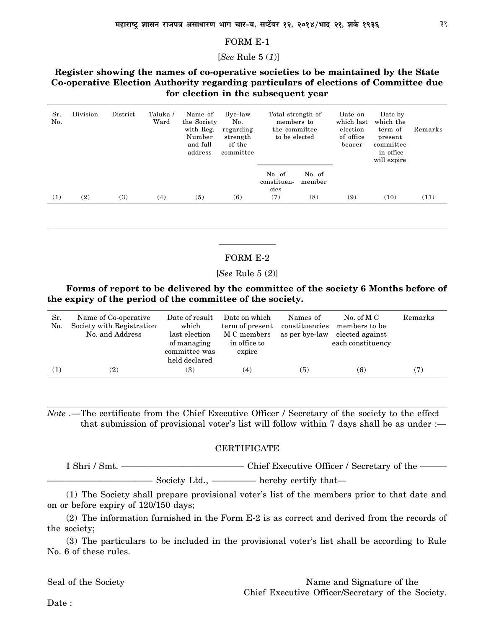#### FORM E-1

[*See* Rule 5 (*1*)]

### **Register showing the names of co-operative societies to be maintained by the State Co-operative Election Authority regarding particulars of elections of Committee due for election in the subsequent year**

| Sr.<br>No. | Division | District | Taluka /<br>Ward | Name of<br>the Society<br>with Reg.<br>Number<br>and full<br>address | Bye-law<br>No.<br>regarding<br>strength<br>of the<br>committee | Total strength of<br>members to<br>the committee<br>to be elected |                         | Date on<br>which last<br>election<br>of office<br>bearer | Date by<br>which the<br>term of<br>present<br>committee<br>in office<br>will expire | Remarks |
|------------|----------|----------|------------------|----------------------------------------------------------------------|----------------------------------------------------------------|-------------------------------------------------------------------|-------------------------|----------------------------------------------------------|-------------------------------------------------------------------------------------|---------|
| (1)        | (2)      | (3)      | (4)              | (5)                                                                  | (6)                                                            | No. of<br>constituen-<br>cies<br>(7)                              | No. of<br>member<br>(8) | (9)                                                      | (10)                                                                                | (11)    |

### FORM E-2

[*See* Rule 5 (*2*)]

**Forms of report to be delivered by the committee of the society 6 Months before of the expiry of the period of the committee of the society.**

| Sr.<br>No. | Name of Co-operative<br>Society with Registration<br>No. and Address | Date of result<br>which<br>last election<br>of managing<br>committee was<br>held declared | Date on which<br>term of present<br>M C members<br>in office to<br>expire | Names of<br>constituencies<br>as per bye-law | No. of M $C$<br>members to be<br>elected against<br>each constituency | Remarks |
|------------|----------------------------------------------------------------------|-------------------------------------------------------------------------------------------|---------------------------------------------------------------------------|----------------------------------------------|-----------------------------------------------------------------------|---------|
| (1)        | (2)                                                                  | (3)                                                                                       | $\left( 4\right)$                                                         | (5)                                          | (6)                                                                   | (7)     |

*Note* .—The certificate from the Chief Executive Officer / Secretary of the society to the effect that submission of provisional voter's list will follow within 7 days shall be as under  $:$ 

#### **CERTIFICATE**

I Shri / Smt. ———————————————————Chief Executive Officer / Secretary of the — ———————————— Society Ltd., ————— hereby certify that—

(1) The Society shall prepare provisional voter's list of the members prior to that date and on or before expiry of 120/150 days;

(2) The information furnished in the Form E-2 is as correct and derived from the records of the society;

(3) The particulars to be included in the provisional voter's list shall be according to Rule No. 6 of these rules.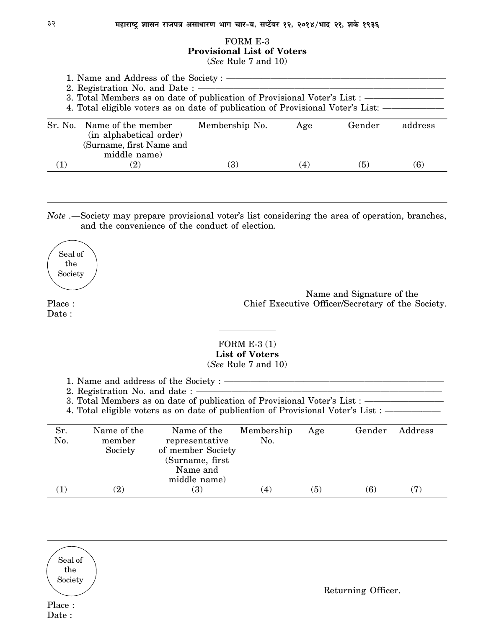### FORM E-3 **Provisional List of Voters**

(*See* Rule 7 and 10)

|           | 1. Name and Address of the Society : ————<br>2. Registration No. and Date : ———<br>3. Total Members as on date of publication of Provisional Voter's List : ————<br>4. Total eligible voters as on date of publication of Provisional Voter's List: ———————————————————— |                   |     |        |         |
|-----------|--------------------------------------------------------------------------------------------------------------------------------------------------------------------------------------------------------------------------------------------------------------------------|-------------------|-----|--------|---------|
|           | Sr. No. Name of the member<br>(in alphabetical order)<br>(Surname, first Name and<br>middle name)                                                                                                                                                                        | Membership No.    | Age | Gender | address |
| $\bf (1)$ | $\left( 2\right)$                                                                                                                                                                                                                                                        | $\left( 3\right)$ | (4) | (5)    | (6)     |

*Note .—*Society may prepare provisional voter's list considering the area of operation, branches, and the convenience of the conduct of election.

Seal of the Society

Date:

Name and Signature of the Place : Chief Executive Officer/Secretary of the Society.

### FORM E-3 (1) **List of Voters** (*See* Rule 7 and 10)

1. Name and address of the Society  $: -$ 

2. Registration No. and date  $:$   $-$ 

3. Total Members as on date of publication of Provisional Voter's List : -

4. Total eligible voters as on date of publication of Provisional Voter's List : ———————

| Sr.<br>No.   | Name of the<br>member<br>Society | Name of the<br>representative<br>of member Society<br>(Surname, first)<br>Name and<br>middle name) | Membership<br>No. | Age | Gender | Address           |
|--------------|----------------------------------|----------------------------------------------------------------------------------------------------|-------------------|-----|--------|-------------------|
| $\mathbf{1}$ | $\rm(2)$                         | <b>(3)</b>                                                                                         | (4)               | (5) | (6)    | $\left( 7\right)$ |

Seal of the Society

Place : Date :

Returning Officer.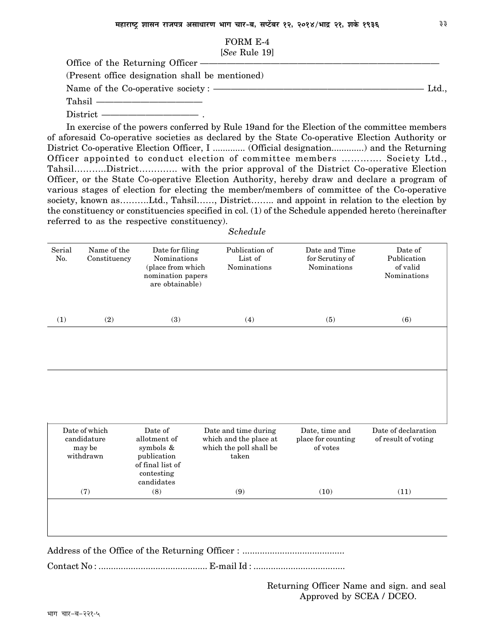#### FORM E-4 [*See* Rule 19]

| $1000$ 100.10 10                                        |      |
|---------------------------------------------------------|------|
| Office of the Returning Officer ————————————————————    |      |
| (Present office designation shall be mentioned)         |      |
| Name of the Co-operative society : ———————————————————— | Ltd. |
|                                                         |      |
|                                                         |      |

In exercise of the powers conferred by Rule 19and for the Election of the committee members of aforesaid Co-operative societies as declared by the State Co-operative Election Authority or District Co-operative Election Officer, I .................. (Official designation...............) and the Returning Officer appointed to conduct election of committee members …………. Society Ltd., Tahsil………..District…………. with the prior approval of the District Co-operative Election Officer, or the State Co-operative Election Authority, hereby draw and declare a program of various stages of election for electing the member/members of committee of the Co-operative society, known as………..Ltd., Tahsil……, District…….. and appoint in relation to the election by the constituency or constituencies specified in col. (1) of the Schedule appended hereto (hereinafter referred to as the respective constituency).

| Serial<br>No.       | Name of the<br>Constituency | Date for filing<br><b>Nominations</b><br>(place from which<br>nomination papers<br>are obtainable) | Publication of<br>List of<br>Nominations | Date and Time<br>for Scrutiny of<br><b>Nominations</b> | Date of<br>Publication<br>of valid<br>Nominations |
|---------------------|-----------------------------|----------------------------------------------------------------------------------------------------|------------------------------------------|--------------------------------------------------------|---------------------------------------------------|
| $\scriptstyle{(1)}$ | (2)                         | $\left( 3\right)$                                                                                  | (4)                                      | (5)                                                    | (6)                                               |

| Date of which<br>candidature<br>may be<br>withdrawn | Date of<br>allotment of<br>symbols &<br>publication<br>of final list of<br>contesting<br>candidates | Date and time during<br>which and the place at<br>which the poll shall be<br>taken | Date, time and<br>place for counting<br>of votes | Date of declaration<br>of result of voting |
|-----------------------------------------------------|-----------------------------------------------------------------------------------------------------|------------------------------------------------------------------------------------|--------------------------------------------------|--------------------------------------------|
| (7)                                                 | (8)                                                                                                 | (9)                                                                                | (10)                                             | (11)                                       |

Address of the Office of the Returning Officer : .........................................

Contact No : ............................................ E-mail Id : .....................................

Returning Officer Name and sign. and seal Approved by SCEA / DCEO.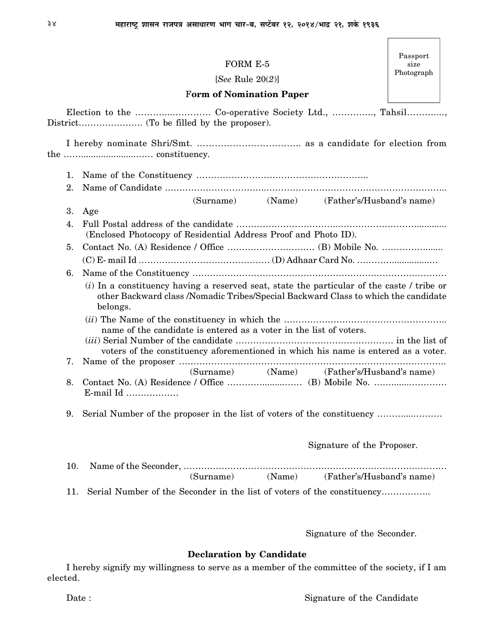|     | FORM E-5<br>[See Rule $20(2)$ ]                                                                                                                                                  | size<br>Photograph |
|-----|----------------------------------------------------------------------------------------------------------------------------------------------------------------------------------|--------------------|
|     | <b>Form of Nomination Paper</b>                                                                                                                                                  |                    |
|     |                                                                                                                                                                                  |                    |
|     |                                                                                                                                                                                  |                    |
| 1.  |                                                                                                                                                                                  |                    |
| 2.  |                                                                                                                                                                                  |                    |
|     | (Surname) (Name) (Father's/Husband's name)                                                                                                                                       |                    |
| 3.  | Age                                                                                                                                                                              |                    |
| 4.  | (Enclosed Photocopy of Residential Address Proof and Photo ID).                                                                                                                  |                    |
| 5.  |                                                                                                                                                                                  |                    |
|     |                                                                                                                                                                                  |                    |
|     |                                                                                                                                                                                  |                    |
| 6.  | (i) In a constituency having a reserved seat, state the particular of the caste / tribe or<br>other Backward class /Nomadic Tribes/Special Backward Class to which the candidate |                    |
|     | belongs.<br>name of the candidate is entered as a voter in the list of voters.<br>voters of the constituency aforementioned in which his name is entered as a voter.             |                    |
| 7.  |                                                                                                                                                                                  |                    |
| 8.  | (Surname) (Name) (Father's/Husband's name)<br>E-mail Id                                                                                                                          |                    |
| 9.  | Serial Number of the proposer in the list of voters of the constituency                                                                                                          |                    |
|     | Signature of the Proposer.                                                                                                                                                       |                    |
| 10. | (Name) (Father's/Husband's name)<br>(Surname)                                                                                                                                    |                    |

Signature of the Seconder.

### **Declaration by Candidate**

I hereby signify my willingness to serve as a member of the committee of the society, if I am elected.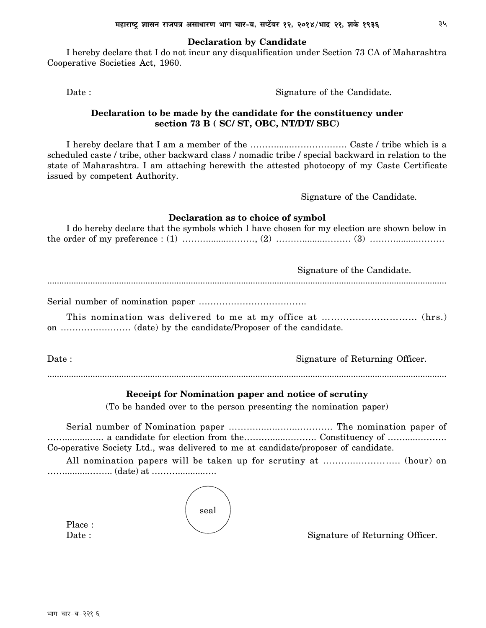#### **Declaration by Candidate**

I hereby declare that I do not incur any disqualification under Section 73 CA of Maharashtra Cooperative Societies Act, 1960.

Date : Signature of the Candidate.

### **Declaration to be made by the candidate for the constituency under section 73 B ( SC/ ST, OBC, NT/DT/ SBC)**

I hereby declare that I am a member of the ………......………………. Caste / tribe which is a scheduled caste / tribe, other backward class / nomadic tribe / special backward in relation to the state of Maharashtra. I am attaching herewith the attested photocopy of my Caste Certificate issued by competent Authority.

Signature of the Candidate.

### **Declaration as to choice of symbol**

| I do hereby declare that the symbols which I have chosen for my election are shown below in |  |
|---------------------------------------------------------------------------------------------|--|
|                                                                                             |  |

|       | Signature of the Candidate.     |
|-------|---------------------------------|
|       |                                 |
|       |                                 |
| Date: | Signature of Returning Officer. |
|       |                                 |

### **Receipt for Nomination paper and notice of scrutiny**

(To be handed over to the person presenting the nomination paper)

Serial number of Nomination paper ……….........….....………. The nomination paper of ……..........….. a candidate for election from the……….......………. Constituency of …….....………. Co-operative Society Ltd., was delivered to me at candidate/proposer of candidate.

All nomination papers will be taken up for scrutiny at …….........……….. (hour) on ……..........…….. (date) at ………...........….

| seal |  |
|------|--|
|      |  |

Place :

Date : Signature of Returning Officer.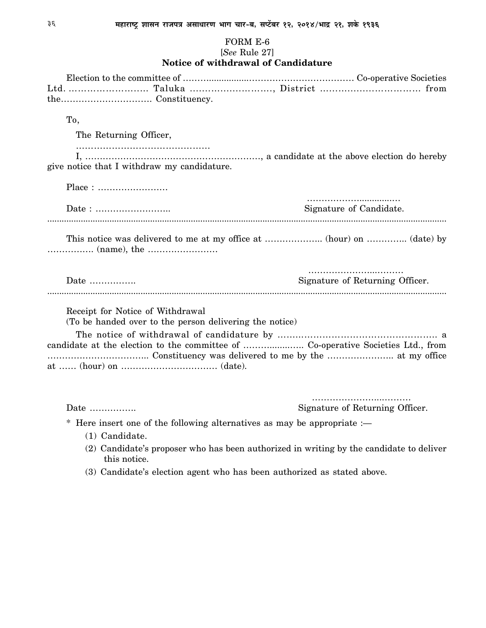### FORM E-6

### [*See* Rule 27]

### **Notice of withdrawal of Candidature**

| To,                                                                                                |                                 |
|----------------------------------------------------------------------------------------------------|---------------------------------|
| The Returning Officer,                                                                             |                                 |
|                                                                                                    |                                 |
| give notice that I withdraw my candidature.                                                        |                                 |
|                                                                                                    |                                 |
|                                                                                                    | Signature of Candidate.         |
|                                                                                                    |                                 |
| Date $\dots\dots\dots\dots\dots$                                                                   | Signature of Returning Officer. |
| Receipt for Notice of Withdrawal                                                                   |                                 |
| (To be handed over to the person delivering the notice)                                            |                                 |
|                                                                                                    |                                 |
|                                                                                                    |                                 |
|                                                                                                    |                                 |
| Date $\dots\dots\dots\dots\dots$                                                                   | Signature of Returning Officer. |
| Here insert one of the following alternatives as may be appropriate $:$<br>$*$<br>$(1)$ Candidate. |                                 |

- (2) Candidate's proposer who has been authorized in writing by the candidate to deliver this notice.
- (3) Candidate's election agent who has been authorized as stated above.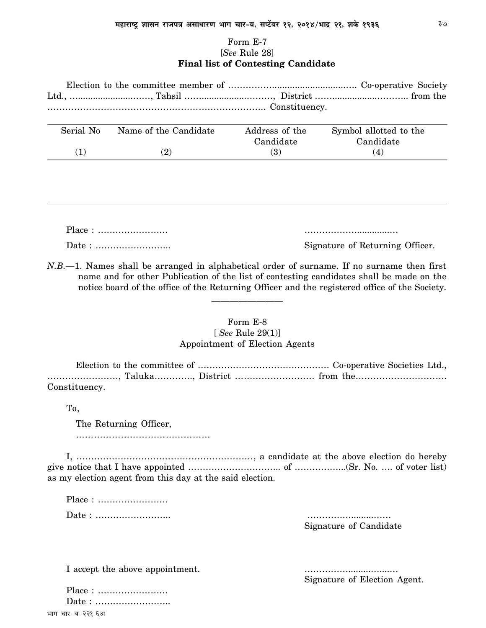### Form E-7 [*See* Rule 28] **Final list of Contesting Candidate**

| Serial No    | Name of the Candidate | Address of the<br>Candidate | Symbol allotted to the<br>Candidate |
|--------------|-----------------------|-----------------------------|-------------------------------------|
| $\mathbf{1}$ | (2)                   | <b>(3)</b>                  | (4)                                 |

Place : …………………… ……………….............… Date : …………………….. Signature of Returning Officer.

*N.B.—*1. Names shall be arranged in alphabetical order of surname. If no surname then first name and for other Publication of the list of contesting candidates shall be made on the notice board of the office of the Returning Officer and the registered office of the Society.

### Form E-8 [ *See* Rule 29(1)]

————————

### Appointment of Election Agents

Election to the committee of ……………………………………… Co-operative Societies Ltd., ……………………, Taluka…………., District ……………………… from the…………………………. Constituency.

To,

The Returning Officer,

………………………………………

I, ……………………………………………………, a candidate at the above election do hereby give notice that I have appointed ………………………….. of ……………...(Sr. No. …. of voter list) as my election agent from this day at the said election.

Place : …………………… Date : …………………….. …………….........……

Signature of Candidate

I accept the above appointment.

Signature of Election Agent.

| $Place: \ldots \ldots \ldots \ldots \ldots \ldots$ |
|----------------------------------------------------|
|                                                    |
| भाग चार-ब-२२१-६अ                                   |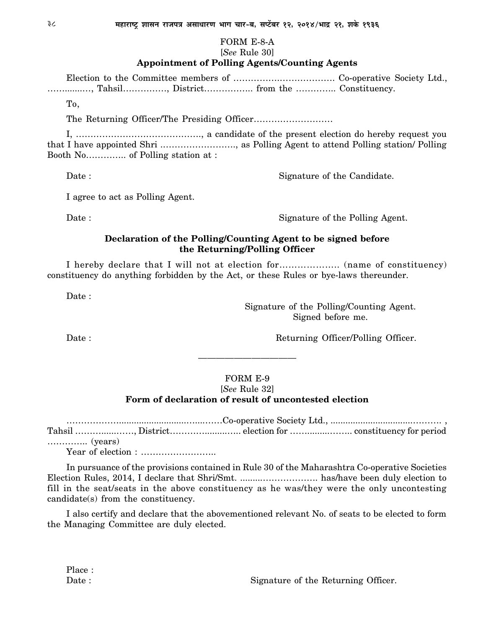### FORM E-8-A

### [*See* Rule 30]

### **Appointment of Polling Agents/Counting Agents**

Election to the Committee members of …………….………………. Co-operative Society Ltd., …….......…, Tahsil……………, District…………….. from the ………….. Constituency.

To,

The Returning Officer/The Presiding Officer………………………

I, ……………………………………., a candidate of the present election do hereby request you that I have appointed Shri .……………………., as Polling Agent to attend Polling station/ Polling Booth No………….. of Polling station at :

Date : Signature of the Candidate.

I agree to act as Polling Agent.

Date : Signature of the Polling Agent.

### **Declaration of the Polling/Counting Agent to be signed before the Returning/Polling Officer**

I hereby declare that I will not at election for……………….. (name of constituency) constituency do anything forbidden by the Act, or these Rules or bye-laws thereunder.

Date:

Signature of the Polling/Counting Agent. Signed before me.

Date : Returning Officer/Polling Officer.

### FORM E-9

———————————

### [*See* Rule 32] **Form of declaration of result of uncontested election**

………………………………………………………………Co-operative Society Ltd., ……………………………………………………………………………… Tahsil ………......……, District………….........….. election for …….........…….. constituency for period ………….. (years)

Year of election : ……………………..

In pursuance of the provisions contained in Rule 30 of the Maharashtra Co-operative Societies Election Rules, 2014, I declare that Shri/Smt. .........………………. has/have been duly election to fill in the seat/seats in the above constituency as he was/they were the only uncontesting candidate(s) from the constituency.

I also certify and declare that the abovementioned relevant No. of seats to be elected to form the Managing Committee are duly elected.

Place :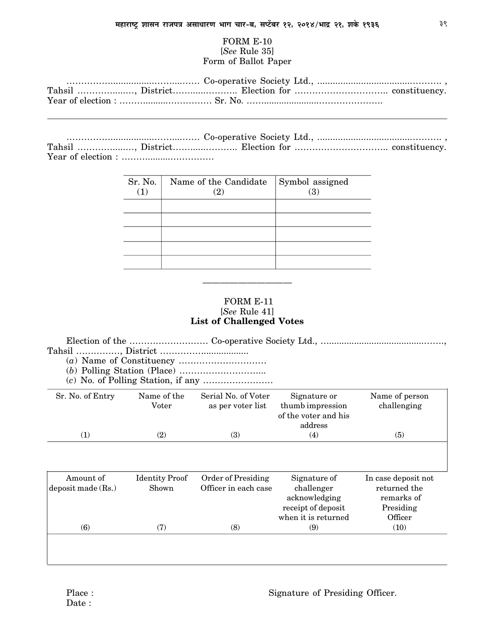### FORM E-10 [*See* Rule 35] Form of Ballot Paper

…………….................……....…… Co-operative Society Ltd., .....................................………. , Tahsil ………….....…, District……......……….. Election for ………………………….. constituency. Year of election : ……….........……………

| Sr. No.<br>$\bf(1)$ | Name of the Candidate Symbol assigned | (3) |
|---------------------|---------------------------------------|-----|
|                     |                                       |     |
|                     |                                       |     |
|                     |                                       |     |
|                     |                                       |     |

### FORM E-11 [*See* Rule 41] **List of Challenged Votes**

——————————

Election of the ……………………… Co-operative Society Ltd., …......................................……., Tahsil ……………, District ……………..................

- (*a*) Name of Constituency …………………………
- (*b*) Polling Station (Place) ………………………...
- (*c*) No. of Polling Station, if any ……………………

| Sr. No. of Entry     | Name of the<br>Voter  | Serial No. of Voter<br>as per voter list | Signature or<br>thumb impression<br>of the voter and his<br>address | Name of person<br>challenging |
|----------------------|-----------------------|------------------------------------------|---------------------------------------------------------------------|-------------------------------|
| (1)                  | (2)                   | (3)                                      | (4)                                                                 | (5)                           |
|                      |                       |                                          |                                                                     |                               |
| Amount of            | <b>Identity Proof</b> | Order of Presiding                       | Signature of                                                        | In case deposit not           |
| deposit made $(Rs.)$ | Shown                 | Officer in each case                     | challenger                                                          | returned the                  |
|                      |                       |                                          | acknowledging<br>receipt of deposit                                 | remarks of<br>Presiding       |
|                      |                       |                                          | when it is returned                                                 | Officer                       |
| (6)                  | (7)                   | (8)                                      | (9)                                                                 | (10)                          |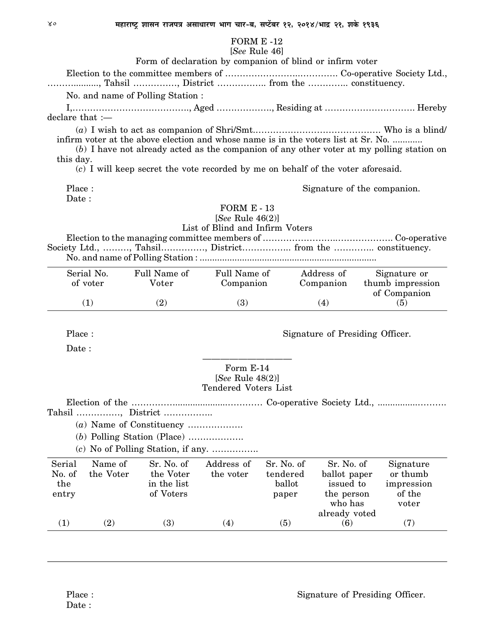## $EODMR = 10$

|                                  |                                         |                                                                                                                                                                          |                                                                         | FORM E -12                                |                                                       |                                                                                             |
|----------------------------------|-----------------------------------------|--------------------------------------------------------------------------------------------------------------------------------------------------------------------------|-------------------------------------------------------------------------|-------------------------------------------|-------------------------------------------------------|---------------------------------------------------------------------------------------------|
|                                  |                                         |                                                                                                                                                                          | [See Rule 46]                                                           |                                           |                                                       |                                                                                             |
|                                  |                                         | Form of declaration by companion of blind or infirm voter                                                                                                                |                                                                         |                                           |                                                       |                                                                                             |
|                                  |                                         | , Tahsil , District  from the  constituency.                                                                                                                             |                                                                         |                                           |                                                       |                                                                                             |
|                                  |                                         | No. and name of Polling Station:                                                                                                                                         |                                                                         |                                           |                                                       |                                                                                             |
|                                  |                                         |                                                                                                                                                                          |                                                                         |                                           |                                                       |                                                                                             |
| $\theta$ declare that :-         |                                         |                                                                                                                                                                          |                                                                         |                                           |                                                       |                                                                                             |
| this day.                        |                                         | infirm voter at the above election and whose name is in the voters list at Sr. No.<br>$(c)$ I will keep secret the vote recorded by me on behalf of the voter aforesaid. |                                                                         |                                           |                                                       | $(b)$ I have not already acted as the companion of any other voter at my polling station on |
|                                  |                                         |                                                                                                                                                                          |                                                                         |                                           |                                                       |                                                                                             |
| Place:<br>Date:                  |                                         |                                                                                                                                                                          |                                                                         |                                           |                                                       | Signature of the companion.                                                                 |
|                                  |                                         | Society Ltd., , Tahsil, District from the  constituency.                                                                                                                 | FORM $E - 13$<br>[See Rule $46(2)$ ]<br>List of Blind and Infirm Voters |                                           |                                                       |                                                                                             |
|                                  |                                         |                                                                                                                                                                          |                                                                         |                                           |                                                       |                                                                                             |
|                                  | Serial No.<br>of voter                  | Full Name of<br>Voter                                                                                                                                                    | Full Name of<br>Companion                                               |                                           | Address of<br>Companion                               | Signature or<br>thumb impression                                                            |
|                                  | (1)                                     | (2)                                                                                                                                                                      | (3)                                                                     |                                           | (4)                                                   | of Companion<br>(5)                                                                         |
| Place:<br>Date:                  |                                         |                                                                                                                                                                          | Form E-14                                                               |                                           | Signature of Presiding Officer.                       |                                                                                             |
|                                  |                                         |                                                                                                                                                                          | [See Rule $48(2)$ ]                                                     |                                           |                                                       |                                                                                             |
| Tahsil                           | Election of the<br>$\ddot{\phantom{a}}$ | District                                                                                                                                                                 | <b>Tendered Voters List</b>                                             |                                           |                                                       |                                                                                             |
|                                  |                                         | $(c)$ No of Polling Station, if any.                                                                                                                                     |                                                                         |                                           |                                                       |                                                                                             |
| Serial<br>No. of<br>the<br>entry | Name of<br>the Voter                    | Sr. No. of<br>the Voter<br>in the list<br>of Voters                                                                                                                      | Address of<br>the voter                                                 | Sr. No. of<br>tendered<br>ballot<br>paper | Sr. No. of<br>ballot paper<br>issued to<br>the person | Signature<br>or thumb<br>impression<br>of the                                               |
|                                  |                                         |                                                                                                                                                                          |                                                                         |                                           | who has<br>already voted                              | voter                                                                                       |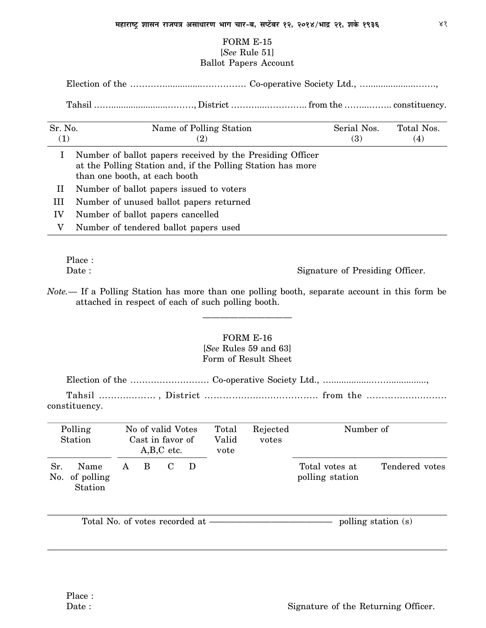### FORM E-15 [*See* Rule 51] Ballot Papers Account

Election of the …………...............…………… Co-operative Society Ltd., …...................…….,

Tahsil …….......................………, District ………....………….. from the ……...…….. constituency.

| Sr. No.<br>(1) | Name of Polling Station<br>$\left( 2\right)$                                                                                                              | Serial Nos.<br><b>(3)</b> | Total Nos.<br>$\left( 4\right)$ |
|----------------|-----------------------------------------------------------------------------------------------------------------------------------------------------------|---------------------------|---------------------------------|
|                | Number of ballot papers received by the Presiding Officer<br>at the Polling Station and, if the Polling Station has more<br>than one booth, at each booth |                           |                                 |
| П              | Number of ballot papers issued to voters                                                                                                                  |                           |                                 |
| Ш              | Number of unused ballot papers returned                                                                                                                   |                           |                                 |
| IV             | Number of ballot papers cancelled                                                                                                                         |                           |                                 |
| V              | Number of tendered ballot papers used                                                                                                                     |                           |                                 |

Place :

Date : Signature of Presiding Officer.

*Note.—* If a Polling Station has more than one polling booth, separate account in this form be attached in respect of each of such polling booth.

——————————

### FORM E-16 [*See* Rules 59 and 63] Form of Result Sheet

Election of the ……………………… Co-operative Society Ltd., …................……...............,

Tahsil …….......…… , District …………...............……….. from the ……….............….. constituency.

| Polling<br>Station                       | No of valid Votes<br>Cast in favor of<br>$A,B,C$ etc. |   |  |   | Total<br>Valid<br>vote | Rejected<br>votes | Number of                         |                |
|------------------------------------------|-------------------------------------------------------|---|--|---|------------------------|-------------------|-----------------------------------|----------------|
| Sr.<br>Name<br>No. of polling<br>Station | A                                                     | B |  | D |                        |                   | Total votes at<br>polling station | Tendered votes |

Total No. of votes recorded at ——————————————————————— polling station (s)